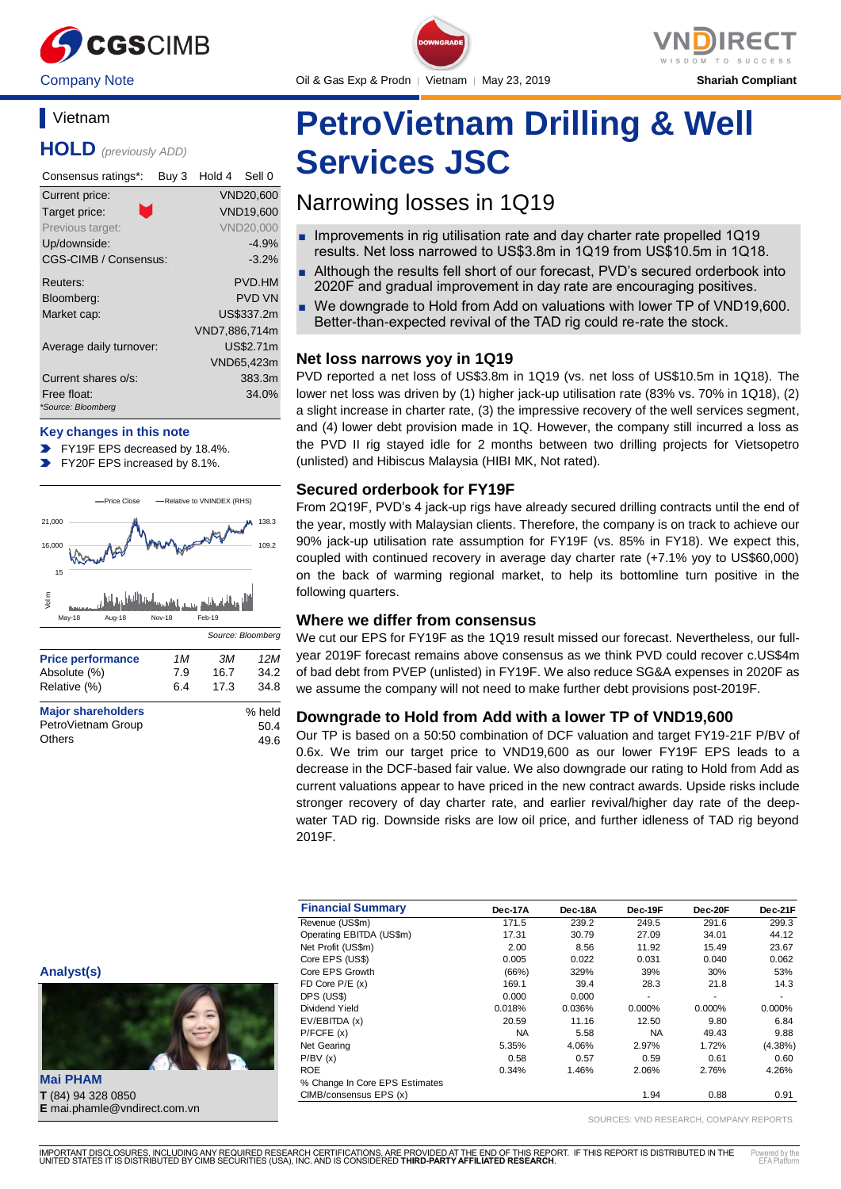

### **Vietnam**

**HOLD** *(previously ADD)*

| Consensus ratings*:               | Buy 3 | Hold 4        | Sell 0           |
|-----------------------------------|-------|---------------|------------------|
| Current price:                    |       |               | <b>VND20,600</b> |
| m.<br>Target price:               |       |               | <b>VND19,600</b> |
| Previous target:                  |       |               | <b>VND20,000</b> |
| Up/downside:                      |       |               | $-4.9%$          |
| CGS-CIMB / Consensus:             |       |               | $-3.2%$          |
| Reuters:                          |       |               | <b>PVD.HM</b>    |
| Bloomberg:                        |       |               | <b>PVD VN</b>    |
| Market cap:                       |       |               | US\$337.2m       |
|                                   |       | VND7,886,714m |                  |
| Average daily turnover:           |       |               | US\$2.71m        |
|                                   |       |               | VND65,423m       |
| Current shares o/s:               |       |               | 383.3m           |
| Free float:<br>*Source: Bloomberg |       |               | 34.0%            |

### **Key changes in this note**

FY19F EPS decreased by 18.4%.

FY20F EPS increased by 8.1%.



| <b>Major shareholders</b> | % held |
|---------------------------|--------|
| PetroVietnam Group        | 50.4   |
| Others                    | 49.6   |



**PetroVietnam Drilling & Well Services JSC**

## Narrowing losses in 1Q19

- Improvements in rig utilisation rate and day charter rate propelled 1Q19 results. Net loss narrowed to US\$3.8m in 1Q19 from US\$10.5m in 1Q18.
- Although the results fell short of our forecast, PVD's secured orderbook into 2020F and gradual improvement in day rate are encouraging positives.
- We downgrade to Hold from Add on valuations with lower TP of VND19,600. Better-than-expected revival of the TAD rig could re-rate the stock.

### **Net loss narrows yoy in 1Q19**

PVD reported a net loss of US\$3.8m in 1Q19 (vs. net loss of US\$10.5m in 1Q18). The lower net loss was driven by (1) higher jack-up utilisation rate (83% vs. 70% in 1Q18), (2) a slight increase in charter rate, (3) the impressive recovery of the well services segment, and (4) lower debt provision made in 1Q. However, the company still incurred a loss as the PVD II rig stayed idle for 2 months between two drilling projects for Vietsopetro (unlisted) and Hibiscus Malaysia (HIBI MK, Not rated).

### **Secured orderbook for FY19F**

From 2Q19F, PVD's 4 jack-up rigs have already secured drilling contracts until the end of the year, mostly with Malaysian clients. Therefore, the company is on track to achieve our 90% jack-up utilisation rate assumption for FY19F (vs. 85% in FY18). We expect this, coupled with continued recovery in average day charter rate (+7.1% yoy to US\$60,000) on the back of warming regional market, to help its bottomline turn positive in the following quarters.

### **Where we differ from consensus**

We cut our EPS for FY19F as the 1Q19 result missed our forecast. Nevertheless, our fullyear 2019F forecast remains above consensus as we think PVD could recover c.US\$4m of bad debt from PVEP (unlisted) in FY19F. We also reduce SG&A expenses in 2020F as we assume the company will not need to make further debt provisions post-2019F.

### **Downgrade to Hold from Add with a lower TP of VND19,600**

Our TP is based on a 50:50 combination of DCF valuation and target FY19-21F P/BV of 0.6x. We trim our target price to VND19,600 as our lower FY19F EPS leads to a decrease in the DCF-based fair value. We also downgrade our rating to Hold from Add as current valuations appear to have priced in the new contract awards. Upside risks include stronger recovery of day charter rate, and earlier revival/higher day rate of the deepwater TAD rig. Downside risks are low oil price, and further idleness of TAD rig beyond 2019F.

| <b>Financial Summary</b>       | Dec-17A   | Dec-18A | Dec-19F   | Dec-20F | Dec-21F    |
|--------------------------------|-----------|---------|-----------|---------|------------|
| Revenue (US\$m)                | 171.5     | 239.2   | 249.5     | 291.6   | 299.3      |
| Operating EBITDA (US\$m)       | 17.31     | 30.79   | 27.09     | 34.01   | 44.12      |
| Net Profit (US\$m)             | 2.00      | 8.56    | 11.92     | 15.49   | 23.67      |
| Core EPS (US\$)                | 0.005     | 0.022   | 0.031     | 0.040   | 0.062      |
| Core EPS Growth                | (66%)     | 329%    | 39%       | 30%     | 53%        |
| FD Core $P/E(x)$               | 169.1     | 39.4    | 28.3      | 21.8    | 14.3       |
| DPS (US\$)                     | 0.000     | 0.000   | ٠         | ٠       | ٠          |
| Dividend Yield                 | 0.018%    | 0.036%  | 0.000%    | 0.000%  | 0.000%     |
| EV/EBITDA (x)                  | 20.59     | 11.16   | 12.50     | 9.80    | 6.84       |
| P/FCFE(x)                      | <b>NA</b> | 5.58    | <b>NA</b> | 49.43   | 9.88       |
| Net Gearing                    | 5.35%     | 4.06%   | 2.97%     | 1.72%   | $(4.38\%)$ |
| P/BV(x)                        | 0.58      | 0.57    | 0.59      | 0.61    | 0.60       |
| <b>ROE</b>                     | 0.34%     | 1.46%   | 2.06%     | 2.76%   | 4.26%      |
| % Change In Core EPS Estimates |           |         |           |         |            |
| CIMB/consensus EPS (x)         |           |         | 1.94      | 0.88    | 0.91       |

SOURCES: VND RESEARCH, COMPANY REPORTS

**Analyst(s)**



**Mai PHAM T** (84) 94 328 0850 **E** mai.phamle@vndirect.com.vn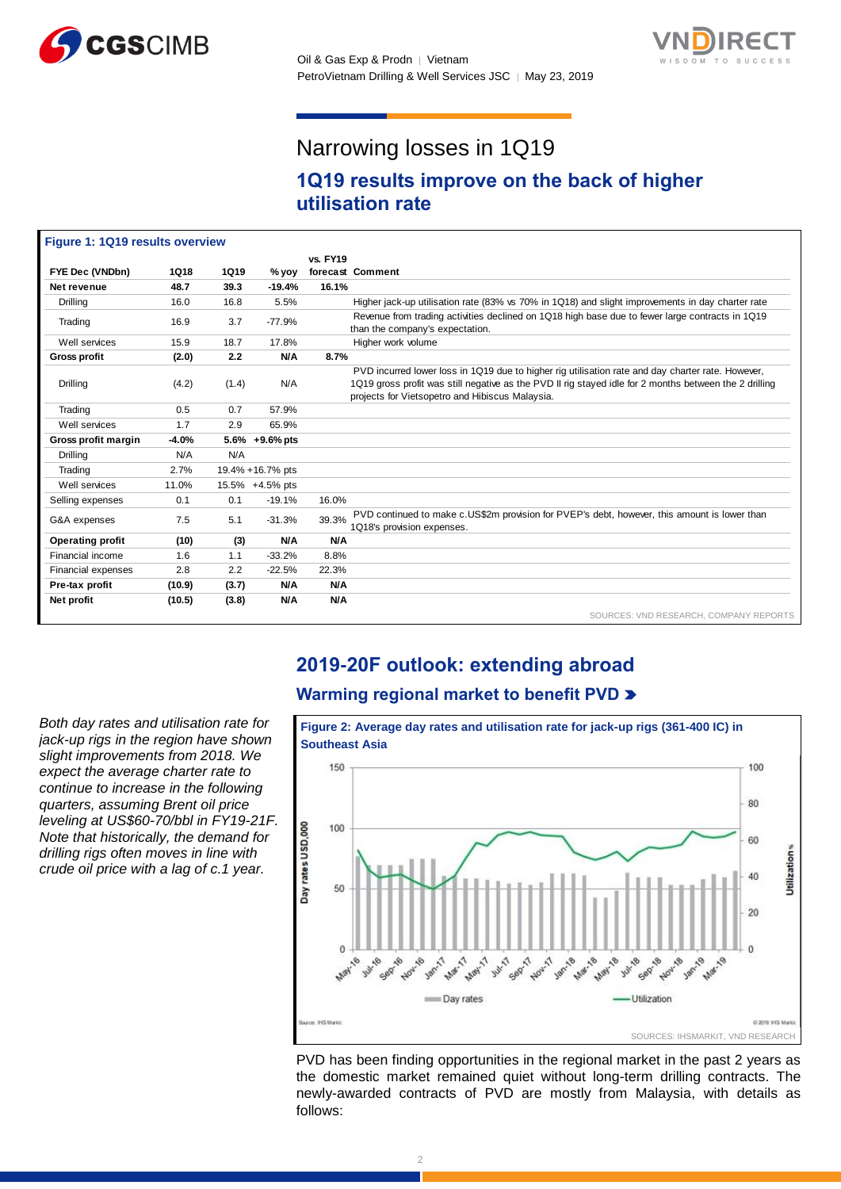



# Narrowing losses in 1Q19

### **1Q19 results improve on the back of higher utilisation rate**

| Figure 1: 1Q19 results overview |             |             |                  |                 |                                                                                                                                                                                                                                                                |
|---------------------------------|-------------|-------------|------------------|-----------------|----------------------------------------------------------------------------------------------------------------------------------------------------------------------------------------------------------------------------------------------------------------|
|                                 |             |             |                  | <b>vs. FY19</b> |                                                                                                                                                                                                                                                                |
| FYE Dec (VNDbn)                 | <b>1Q18</b> | <b>1Q19</b> | $%$ yoy          |                 | forecast Comment                                                                                                                                                                                                                                               |
| Net revenue                     | 48.7        | 39.3        | $-19.4%$         | 16.1%           |                                                                                                                                                                                                                                                                |
| Drilling                        | 16.0        | 16.8        | 5.5%             |                 | Higher jack-up utilisation rate (83% vs 70% in 1Q18) and slight improvements in day charter rate                                                                                                                                                               |
| Trading                         | 16.9        | 3.7         | $-77.9%$         |                 | Revenue from trading activities declined on 1Q18 high base due to fewer large contracts in 1Q19<br>than the company's expectation.                                                                                                                             |
| Well services                   | 15.9        | 18.7        | 17.8%            |                 | Higher work volume                                                                                                                                                                                                                                             |
| <b>Gross profit</b>             | (2.0)       | 2.2         | <b>N/A</b>       | 8.7%            |                                                                                                                                                                                                                                                                |
| Drilling                        | (4.2)       | (1.4)       | N/A              |                 | PVD incurred lower loss in 1Q19 due to higher rig utilisation rate and day charter rate. However,<br>1Q19 gross profit was still negative as the PVD II rig stayed idle for 2 months between the 2 drilling<br>projects for Vietsopetro and Hibiscus Malaysia. |
| Trading                         | 0.5         | 0.7         | 57.9%            |                 |                                                                                                                                                                                                                                                                |
| Well services                   | 1.7         | 2.9         | 65.9%            |                 |                                                                                                                                                                                                                                                                |
| Gross profit margin             | $-4.0%$     |             | 5.6% +9.6% pts   |                 |                                                                                                                                                                                                                                                                |
| Drilling                        | N/A         | N/A         |                  |                 |                                                                                                                                                                                                                                                                |
| Trading                         | 2.7%        |             | 19.4% +16.7% pts |                 |                                                                                                                                                                                                                                                                |
| Well services                   | 11.0%       |             | 15.5% +4.5% pts  |                 |                                                                                                                                                                                                                                                                |
| Selling expenses                | 0.1         | 0.1         | $-19.1%$         | 16.0%           |                                                                                                                                                                                                                                                                |
| G&A expenses                    | 7.5         | 5.1         | $-31.3%$         | 39.3%           | PVD continued to make c.US\$2m provision for PVEP's debt, however, this amount is lower than<br>1Q18's provision expenses.                                                                                                                                     |
| <b>Operating profit</b>         | (10)        | (3)         | <b>N/A</b>       | N/A             |                                                                                                                                                                                                                                                                |
| Financial income                | 1.6         | 1.1         | $-33.2%$         | 8.8%            |                                                                                                                                                                                                                                                                |
| Financial expenses              | 2.8         | 2.2         | $-22.5%$         | 22.3%           |                                                                                                                                                                                                                                                                |
| Pre-tax profit                  | (10.9)      | (3.7)       | <b>N/A</b>       | N/A             |                                                                                                                                                                                                                                                                |
| Net profit                      | (10.5)      | (3.8)       | <b>N/A</b>       | N/A             |                                                                                                                                                                                                                                                                |
|                                 |             |             |                  |                 | SOURCES: VND RESEARCH, COMPANY REPORTS                                                                                                                                                                                                                         |

### **2019-20F outlook: extending abroad**

### **Warming regional market to benefit PVD**

*Both day rates and utilisation rate for jack-up rigs in the region have shown slight improvements from 2018. We expect the average charter rate to continue to increase in the following quarters, assuming Brent oil price leveling at US\$60-70/bbl in FY19-21F. Note that historically, the demand for drilling rigs often moves in line with crude oil price with a lag of c.1 year.*



PVD has been finding opportunities in the regional market in the past 2 years as the domestic market remained quiet without long-term drilling contracts. The newly-awarded contracts of PVD are mostly from Malaysia, with details as follows: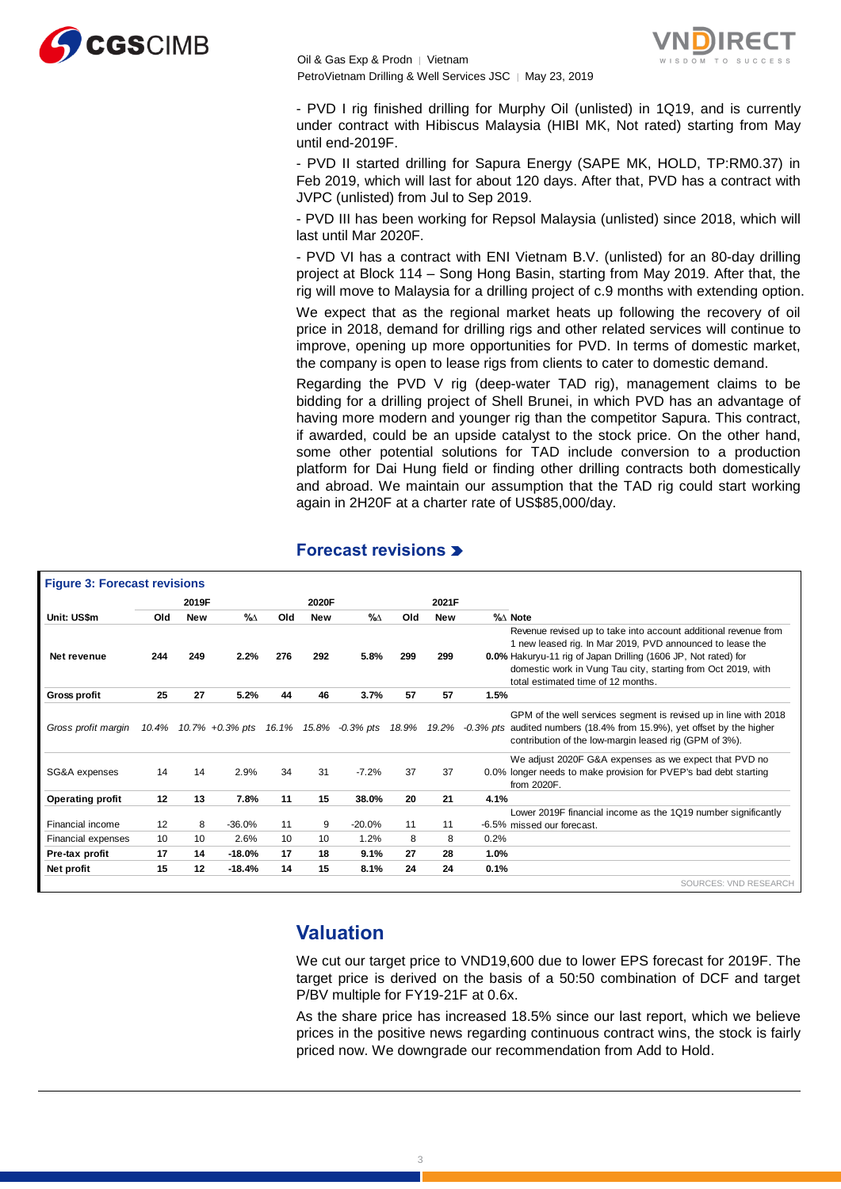

Oil & Gas Exp & Prodn │ Vietnam PetroVietnam Drilling & Well Services JSC | May 23, 2019



- PVD I rig finished drilling for Murphy Oil (unlisted) in 1Q19, and is currently under contract with Hibiscus Malaysia (HIBI MK, Not rated) starting from May until end-2019F.

- PVD II started drilling for Sapura Energy (SAPE MK, HOLD, TP:RM0.37) in Feb 2019, which will last for about 120 days. After that, PVD has a contract with JVPC (unlisted) from Jul to Sep 2019.

- PVD III has been working for Repsol Malaysia (unlisted) since 2018, which will last until Mar 2020F.

- PVD VI has a contract with ENI Vietnam B.V. (unlisted) for an 80-day drilling project at Block 114 – Song Hong Basin, starting from May 2019. After that, the rig will move to Malaysia for a drilling project of c.9 months with extending option.

We expect that as the regional market heats up following the recovery of oil price in 2018, demand for drilling rigs and other related services will continue to improve, opening up more opportunities for PVD. In terms of domestic market, the company is open to lease rigs from clients to cater to domestic demand.

Regarding the PVD V rig (deep-water TAD rig), management claims to be bidding for a drilling project of Shell Brunei, in which PVD has an advantage of having more modern and younger rig than the competitor Sapura. This contract, if awarded, could be an upside catalyst to the stock price. On the other hand, some other potential solutions for TAD include conversion to a production platform for Dai Hung field or finding other drilling contracts both domestically and abroad. We maintain our assumption that the TAD rig could start working again in 2H20F at a charter rate of US\$85,000/day.

|                         |       | 2019F      |                 |     | 2020F      |                       |     | 2021F       |      |                                                                                                                                                                                                                                                                                                      |
|-------------------------|-------|------------|-----------------|-----|------------|-----------------------|-----|-------------|------|------------------------------------------------------------------------------------------------------------------------------------------------------------------------------------------------------------------------------------------------------------------------------------------------------|
| Unit: US\$m             | Old   | <b>New</b> | %∆              | Old | <b>New</b> | $\%$                  | Old | <b>New</b>  |      | %∆ Note                                                                                                                                                                                                                                                                                              |
| Net revenue             | 244   | 249        | 2.2%            | 276 | 292        | 5.8%                  | 299 | 299         |      | Revenue revised up to take into account additional revenue from<br>1 new leased rig. In Mar 2019, PVD announced to lease the<br>0.0% Hakuryu-11 rig of Japan Drilling (1606 JP, Not rated) for<br>domestic work in Vung Tau city, starting from Oct 2019, with<br>total estimated time of 12 months. |
| <b>Gross profit</b>     | 25    | 27         | 5.2%            | 44  | 46         | 3.7%                  | 57  | 57          | 1.5% |                                                                                                                                                                                                                                                                                                      |
| Gross profit margin     | 10.4% |            | 10.7% +0.3% pts |     |            | 16.1% 15.8% -0.3% pts |     | 18.9% 19.2% |      | GPM of the well services segment is revised up in line with 2018<br>-0.3% pts audited numbers (18.4% from 15.9%), yet offset by the higher<br>contribution of the low-margin leased rig (GPM of 3%).                                                                                                 |
| SG&A expenses           | 14    | 14         | 2.9%            | 34  | 31         | $-7.2%$               | 37  | 37          |      | We adjust 2020F G&A expenses as we expect that PVD no<br>0.0% longer needs to make provision for PVEP's bad debt starting<br>from 2020F.                                                                                                                                                             |
| <b>Operating profit</b> | 12    | 13         | 7.8%            | 11  | 15         | 38.0%                 | 20  | 21          | 4.1% |                                                                                                                                                                                                                                                                                                      |
| Financial income        | 12    | 8          | $-36.0%$        | 11  | 9          | $-20.0%$              | 11  | 11          |      | Lower 2019F financial income as the 1Q19 number significantly<br>-6.5% missed our forecast.                                                                                                                                                                                                          |
| Financial expenses      | 10    | 10         | 2.6%            | 10  | 10         | 1.2%                  | 8   | 8           | 0.2% |                                                                                                                                                                                                                                                                                                      |
| Pre-tax profit          | 17    | 14         | $-18.0%$        | 17  | 18         | 9.1%                  | 27  | 28          | 1.0% |                                                                                                                                                                                                                                                                                                      |
| Net profit              | 15    | 12         | $-18.4%$        | 14  | 15         | 8.1%                  | 24  | 24          | 0.1% |                                                                                                                                                                                                                                                                                                      |

### **Forecast revisions**

### **Valuation**

We cut our target price to VND19,600 due to lower EPS forecast for 2019F. The target price is derived on the basis of a 50:50 combination of DCF and target P/BV multiple for FY19-21F at 0.6x.

As the share price has increased 18.5% since our last report, which we believe prices in the positive news regarding continuous contract wins, the stock is fairly priced now. We downgrade our recommendation from Add to Hold.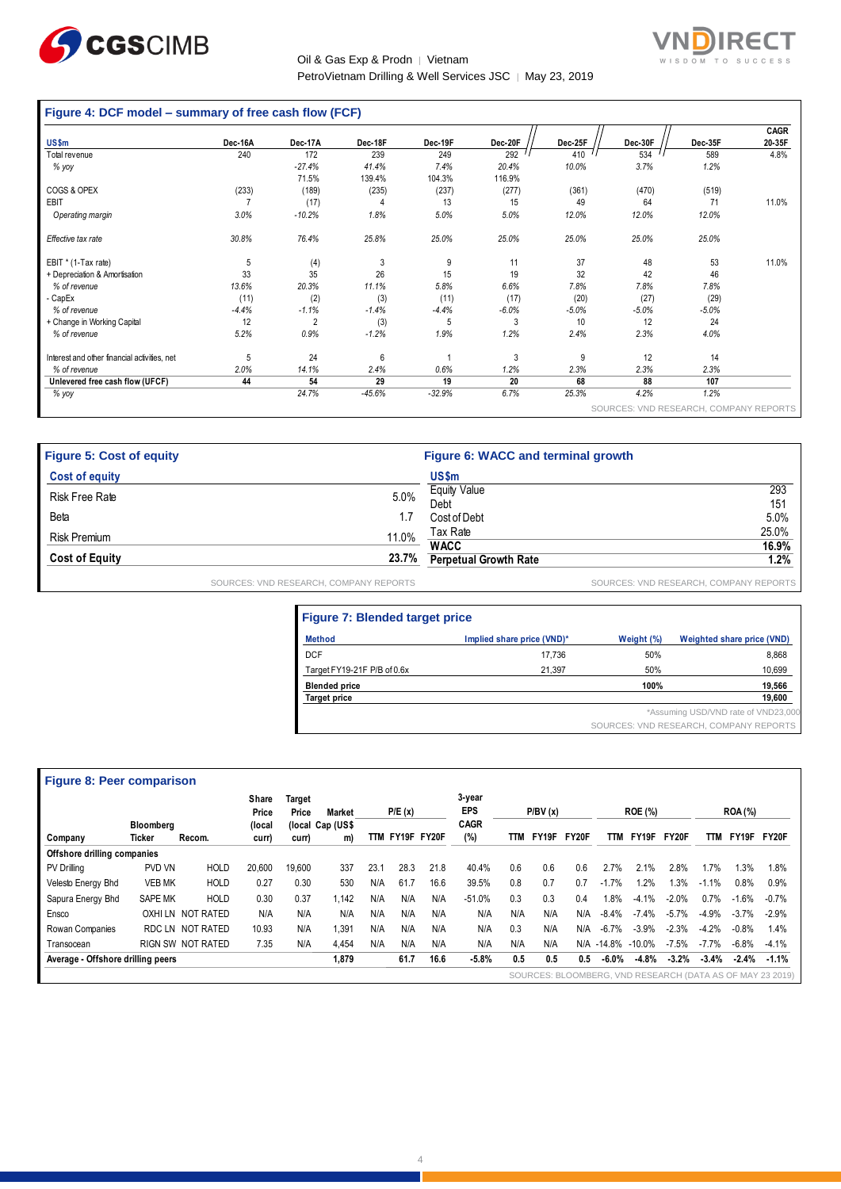

### Oil & Gas Exp & Prodn │ Vietnam PetroVietnam Drilling & Well Services JSC | May 23, 2019



### **Figure 4: DCF model – summary of free cash flow (FCF)**

|                                              |         |                |          |          |         |         |         |                                        | <b>CAGR</b> |
|----------------------------------------------|---------|----------------|----------|----------|---------|---------|---------|----------------------------------------|-------------|
| <b>US\$m</b>                                 | Dec-16A | Dec-17A        | Dec-18F  | Dec-19F  | Dec-20F | Dec-25F | Dec-30F | Dec-35F                                | 20-35F      |
| Total revenue                                | 240     | 172            | 239      | 249      | 292     | 410     | 534     | 589                                    | 4.8%        |
| % yoy                                        |         | $-27.4%$       | 41.4%    | 7.4%     | 20.4%   | 10.0%   | 3.7%    | 1.2%                                   |             |
|                                              |         | 71.5%          | 139.4%   | 104.3%   | 116.9%  |         |         |                                        |             |
| COGS & OPEX                                  | (233)   | (189)          | (235)    | (237)    | (277)   | (361)   | (470)   | (519)                                  |             |
| EBIT                                         |         | (17)           | 4        | 13       | 15      | 49      | 64      | 71                                     | 11.0%       |
| Operating margin                             | 3.0%    | $-10.2%$       | 1.8%     | 5.0%     | 5.0%    | 12.0%   | 12.0%   | 12.0%                                  |             |
| Effective tax rate                           | 30.8%   | 76.4%          | 25.8%    | 25.0%    | 25.0%   | 25.0%   | 25.0%   | 25.0%                                  |             |
| EBIT * (1-Tax rate)                          | 5       | (4)            | 3        | 9        | 11      | 37      | 48      | 53                                     | 11.0%       |
| + Depreciation & Amortisation                | 33      | 35             | 26       | 15       | 19      | 32      | 42      | 46                                     |             |
| % of revenue                                 | 13.6%   | 20.3%          | 11.1%    | 5.8%     | 6.6%    | 7.8%    | 7.8%    | 7.8%                                   |             |
| CapEx                                        | (11)    | (2)            | (3)      | (11)     | (17)    | (20)    | (27)    | (29)                                   |             |
| % of revenue                                 | $-4.4%$ | $-1.1%$        | $-1.4%$  | $-4.4%$  | $-6.0%$ | $-5.0%$ | $-5.0%$ | $-5.0%$                                |             |
| + Change in Working Capital                  | 12      | $\overline{2}$ | (3)      | 5        | 3       | 10      | 12      | 24                                     |             |
| % of revenue                                 | 5.2%    | 0.9%           | $-1.2%$  | 1.9%     | 1.2%    | 2.4%    | 2.3%    | 4.0%                                   |             |
| Interest and other financial activities, net | 5       | 24             | 6        |          | 3       | 9       | 12      | 14                                     |             |
| % of revenue                                 | 2.0%    | 14.1%          | 2.4%     | 0.6%     | 1.2%    | 2.3%    | 2.3%    | 2.3%                                   |             |
| Unlevered free cash flow (UFCF)              | 44      | 54             | 29       | 19       | 20      | 68      | 88      | 107                                    |             |
| % yoy                                        |         | 24.7%          | $-45.6%$ | $-32.9%$ | 6.7%    | 25.3%   | 4.2%    | 1.2%                                   |             |
|                                              |         |                |          |          |         |         |         | SOURCES: VND RESEARCH, COMPANY REPORTS |             |

| <b>Figure 5: Cost of equity</b> |                                        | Figure 6: WACC and terminal growth |                                        |
|---------------------------------|----------------------------------------|------------------------------------|----------------------------------------|
| <b>Cost of equity</b>           |                                        | US\$m                              |                                        |
| Risk Free Rate                  | 5.0%                                   | <b>Equity Value</b><br>Debt        | 293<br>151                             |
| Beta                            | 1.7                                    | Cost of Debt                       | 5.0%                                   |
| <b>Risk Premium</b>             | 11.0%                                  | Tax Rate                           | 25.0%                                  |
|                                 |                                        | <b>WACC</b>                        | 16.9%                                  |
| <b>Cost of Equity</b>           | 23.7%                                  | <b>Perpetual Growth Rate</b>       | 1.2%                                   |
|                                 | SOURCES: VND RESEARCH, COMPANY REPORTS |                                    | SOURCES: VND RESEARCH, COMPANY REPORTS |

| <b>Figure 7: Blended target price</b> |                            |            |                                        |  |  |  |  |  |  |  |
|---------------------------------------|----------------------------|------------|----------------------------------------|--|--|--|--|--|--|--|
| <b>Method</b>                         | Implied share price (VND)* | Weight (%) | Weighted share price (VND)             |  |  |  |  |  |  |  |
| <b>DCF</b>                            | 17.736                     | 50%        | 8,868                                  |  |  |  |  |  |  |  |
| Target FY19-21F P/B of 0.6x           | 21.397                     | 50%        | 10,699                                 |  |  |  |  |  |  |  |
| <b>Blended price</b>                  |                            | 100%       | 19,566                                 |  |  |  |  |  |  |  |
| <b>Target price</b>                   |                            |            | 19,600                                 |  |  |  |  |  |  |  |
|                                       |                            |            | *Assuming USD/VND rate of VND23,000    |  |  |  |  |  |  |  |
|                                       |                            |            | SOURCES: VND RESEARCH, COMPANY REPORTS |  |  |  |  |  |  |  |

| <b>Figure 8: Peer comparison</b>  |                  |                          |                          |                 |                                   |      |             |      |                                     |     |         |       |          |                |         |         |                |                                                           |
|-----------------------------------|------------------|--------------------------|--------------------------|-----------------|-----------------------------------|------|-------------|------|-------------------------------------|-----|---------|-------|----------|----------------|---------|---------|----------------|-----------------------------------------------------------|
|                                   | <b>Bloomberg</b> |                          | Share<br>Price<br>(local | Target<br>Price | <b>Market</b><br>(local Cap (US\$ |      | P/E(x)      |      | 3-year<br><b>EPS</b><br><b>CAGR</b> |     | P/BV(x) |       |          | <b>ROE (%)</b> |         |         | <b>ROA (%)</b> |                                                           |
| Company                           | <b>Ticker</b>    | Recom.                   | curr)                    | curr)           | m)                                | TTM  | FY19F FY20F |      | (%)                                 | TTM | FY19F   | FY20F | TTM      | FY19F          | FY20F   | TTM     | FY19F          | FY20F                                                     |
| Offshore drilling companies       |                  |                          |                          |                 |                                   |      |             |      |                                     |     |         |       |          |                |         |         |                |                                                           |
| <b>PV Drilling</b>                | PVD VN           | <b>HOLD</b>              | 20.600                   | 19.600          | 337                               | 23.1 | 28.3        | 21.8 | 40.4%                               | 0.6 | 0.6     | 0.6   | 2.7%     | 2.1%           | 2.8%    | 1.7%    | 1.3%           | 1.8%                                                      |
| Velesto Energy Bhd                | <b>VEB MK</b>    | <b>HOLD</b>              | 0.27                     | 0.30            | 530                               | N/A  | 61.7        | 16.6 | 39.5%                               | 0.8 | 0.7     | 0.7   | $-1.7%$  | 1.2%           | 1.3%    | $-1.1%$ | 0.8%           | 0.9%                                                      |
| Sapura Energy Bhd                 | <b>SAPE MK</b>   | <b>HOLD</b>              | 0.30                     | 0.37            | 1.142                             | N/A  | N/A         | N/A  | $-51.0%$                            | 0.3 | 0.3     | 0.4   | 1.8%     | $-4.1%$        | $-2.0%$ | 0.7%    | $-1.6%$        | $-0.7%$                                                   |
| Ensco                             | OXHI LN          | NOT RATED                | N/A                      | N/A             | N/A                               | N/A  | N/A         | N/A  | N/A                                 | N/A | N/A     | N/A   | $-8.4%$  | $-7.4%$        | $-5.7%$ | $-4.9%$ | $-3.7\%$       | $-2.9%$                                                   |
| Rowan Companies                   | RDC LN           | NOT RATED                | 10.93                    | N/A             | 1.391                             | N/A  | N/A         | N/A  | N/A                                 | 0.3 | N/A     | N/A   | $-6.7%$  | $-3.9%$        | $-2.3%$ | $-4.2%$ | $-0.8%$        | 1.4%                                                      |
| Transocean                        |                  | <b>RIGN SW NOT RATED</b> | 7.35                     | N/A             | 4.454                             | N/A  | N/A         | N/A  | N/A                                 | N/A | N/A     | N/A   | $-14.8%$ | $-10.0\%$      | $-7.5%$ | $-7.7%$ | $-6.8%$        | $-4.1%$                                                   |
| Average - Offshore drilling peers |                  |                          |                          |                 | 1.879                             |      | 61.7        | 16.6 | $-5.8%$                             | 0.5 | 0.5     | 0.5   | $-6.0%$  | $-4.8%$        | $-3.2%$ | $-3.4%$ | $-2.4%$        | $-1.1%$                                                   |
|                                   |                  |                          |                          |                 |                                   |      |             |      |                                     |     |         |       |          |                |         |         |                | SOURCES: BLOOMBERG, VND RESEARCH (DATA AS OF MAY 23 2019) |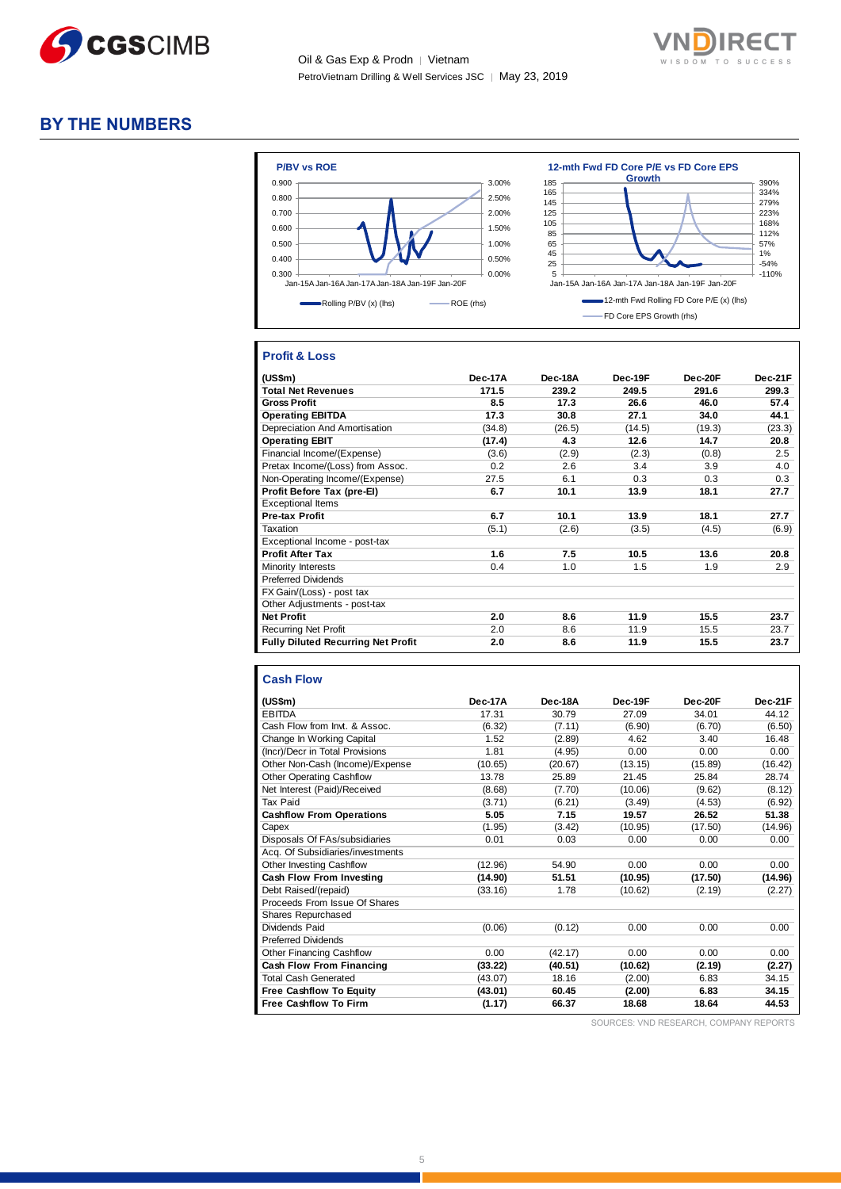



### **BY THE NUMBERS**



### **Profit & Loss**

| (US\$m)                                   | Dec-17A | Dec-18A | Dec-19F | Dec-20F | Dec-21F |
|-------------------------------------------|---------|---------|---------|---------|---------|
| <b>Total Net Revenues</b>                 | 171.5   | 239.2   | 249.5   | 291.6   | 299.3   |
| <b>Gross Profit</b>                       | 8.5     | 17.3    | 26.6    | 46.0    | 57.4    |
| <b>Operating EBITDA</b>                   | 17.3    | 30.8    | 27.1    | 34.0    | 44.1    |
| Depreciation And Amortisation             | (34.8)  | (26.5)  | (14.5)  | (19.3)  | (23.3)  |
| <b>Operating EBIT</b>                     | (17.4)  | 4.3     | 12.6    | 14.7    | 20.8    |
| Financial Income/(Expense)                | (3.6)   | (2.9)   | (2.3)   | (0.8)   | 2.5     |
| Pretax Income/(Loss) from Assoc.          | 0.2     | 2.6     | 3.4     | 3.9     | 4.0     |
| Non-Operating Income/(Expense)            | 27.5    | 6.1     | 0.3     | 0.3     | 0.3     |
| Profit Before Tax (pre-El)                | 6.7     | 10.1    | 13.9    | 18.1    | 27.7    |
| <b>Exceptional Items</b>                  |         |         |         |         |         |
| <b>Pre-tax Profit</b>                     | 6.7     | 10.1    | 13.9    | 18.1    | 27.7    |
| Taxation                                  | (5.1)   | (2.6)   | (3.5)   | (4.5)   | (6.9)   |
| Exceptional Income - post-tax             |         |         |         |         |         |
| <b>Profit After Tax</b>                   | 1.6     | 7.5     | 10.5    | 13.6    | 20.8    |
| Minority Interests                        | 0.4     | 1.0     | 1.5     | 1.9     | 2.9     |
| <b>Preferred Dividends</b>                |         |         |         |         |         |
| FX Gain/(Loss) - post tax                 |         |         |         |         |         |
| Other Adjustments - post-tax              |         |         |         |         |         |
| <b>Net Profit</b>                         | 2.0     | 8.6     | 11.9    | 15.5    | 23.7    |
| <b>Recurring Net Profit</b>               | 2.0     | 8.6     | 11.9    | 15.5    | 23.7    |
| <b>Fully Diluted Recurring Net Profit</b> | 2.0     | 8.6     | 11.9    | 15.5    | 23.7    |

#### **Cash Flow**

| (US\$m)                          | Dec-17A | Dec-18A | Dec-19F | Dec-20F | Dec-21F |
|----------------------------------|---------|---------|---------|---------|---------|
| <b>EBITDA</b>                    | 17.31   | 30.79   | 27.09   | 34.01   | 44.12   |
| Cash Flow from Invt. & Assoc.    | (6.32)  | (7.11)  | (6.90)  | (6.70)  | (6.50)  |
| Change In Working Capital        | 1.52    | (2.89)  | 4.62    | 3.40    | 16.48   |
| (Incr)/Decr in Total Provisions  | 1.81    | (4.95)  | 0.00    | 0.00    | 0.00    |
| Other Non-Cash (Income)/Expense  | (10.65) | (20.67) | (13.15) | (15.89) | (16.42) |
| <b>Other Operating Cashflow</b>  | 13.78   | 25.89   | 21.45   | 25.84   | 28.74   |
| Net Interest (Paid)/Received     | (8.68)  | (7.70)  | (10.06) | (9.62)  | (8.12)  |
| Tax Paid                         | (3.71)  | (6.21)  | (3.49)  | (4.53)  | (6.92)  |
| <b>Cashflow From Operations</b>  | 5.05    | 7.15    | 19.57   | 26.52   | 51.38   |
| Capex                            | (1.95)  | (3.42)  | (10.95) | (17.50) | (14.96) |
| Disposals Of FAs/subsidiaries    | 0.01    | 0.03    | 0.00    | 0.00    | 0.00    |
| Acq. Of Subsidiaries/investments |         |         |         |         |         |
| Other Investing Cashflow         | (12.96) | 54.90   | 0.00    | 0.00    | 0.00    |
| Cash Flow From Investing         | (14.90) | 51.51   | (10.95) | (17.50) | (14.96) |
| Debt Raised/(repaid)             | (33.16) | 1.78    | (10.62) | (2.19)  | (2.27)  |
| Proceeds From Issue Of Shares    |         |         |         |         |         |
| <b>Shares Repurchased</b>        |         |         |         |         |         |
| Dividends Paid                   | (0.06)  | (0.12)  | 0.00    | 0.00    | 0.00    |
| <b>Preferred Dividends</b>       |         |         |         |         |         |
| <b>Other Financing Cashflow</b>  | 0.00    | (42.17) | 0.00    | 0.00    | 0.00    |
| <b>Cash Flow From Financing</b>  | (33.22) | (40.51) | (10.62) | (2.19)  | (2.27)  |
| <b>Total Cash Generated</b>      | (43.07) | 18.16   | (2.00)  | 6.83    | 34.15   |
| <b>Free Cashflow To Equity</b>   | (43.01) | 60.45   | (2.00)  | 6.83    | 34.15   |
| <b>Free Cashflow To Firm</b>     | (1.17)  | 66.37   | 18.68   | 18.64   | 44.53   |

SOURCES: VND RESEARCH, COMPANY REPORTS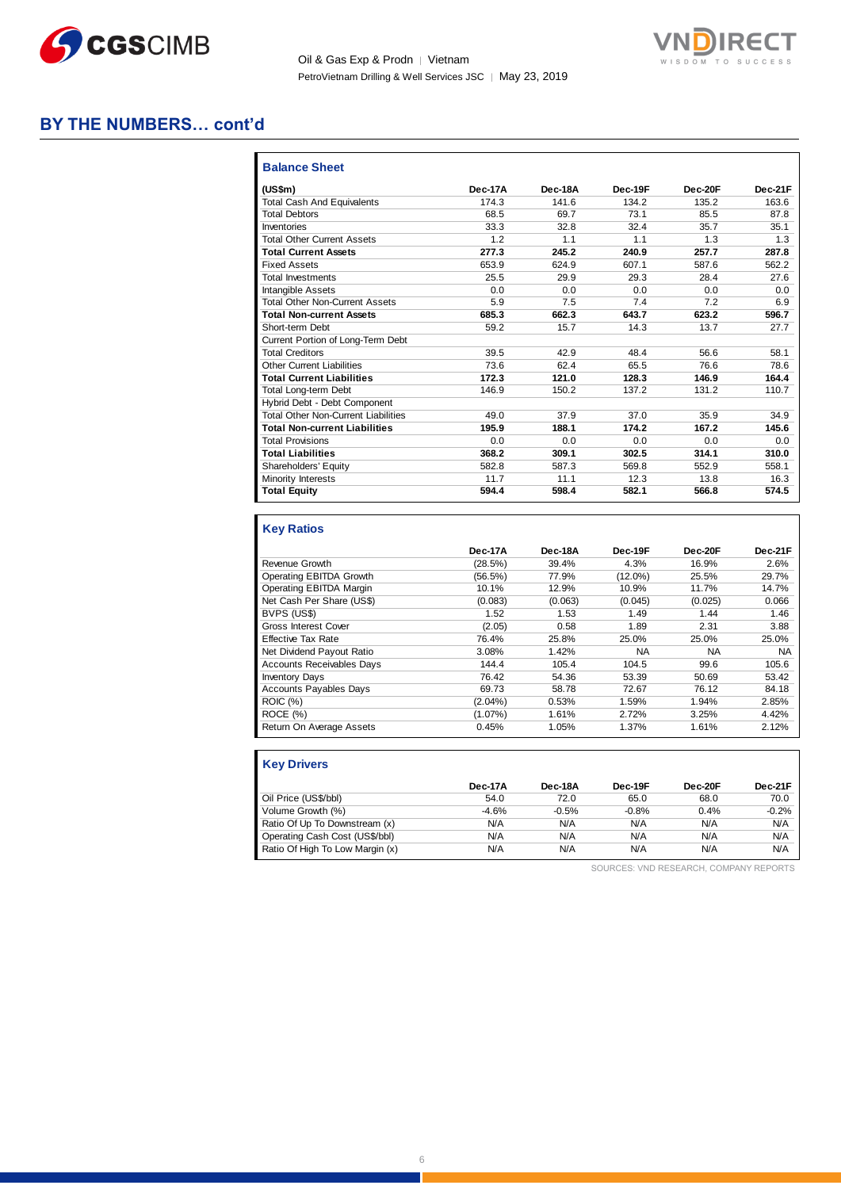![](_page_5_Picture_0.jpeg)

Oil & Gas Exp & Prodn | Vietnam PetroVietnam Drilling & Well Services JSC | May 23, 2019

![](_page_5_Picture_2.jpeg)

### **BY THE NUMBERS… cont'd**

| <b>Balance Sheet</b>                       |         |         |         |         |         |
|--------------------------------------------|---------|---------|---------|---------|---------|
| (US\$m)                                    | Dec-17A | Dec-18A | Dec-19F | Dec-20F | Dec-21F |
| <b>Total Cash And Equivalents</b>          | 174.3   | 141.6   | 134.2   | 135.2   | 163.6   |
| <b>Total Debtors</b>                       | 68.5    | 69.7    | 73.1    | 85.5    | 87.8    |
| Inventories                                | 33.3    | 32.8    | 32.4    | 35.7    | 35.1    |
| <b>Total Other Current Assets</b>          | 1.2     | 1.1     | 1.1     | 1.3     | 1.3     |
| <b>Total Current Assets</b>                | 277.3   | 245.2   | 240.9   | 257.7   | 287.8   |
| <b>Fixed Assets</b>                        | 653.9   | 624.9   | 607.1   | 587.6   | 562.2   |
| <b>Total Investments</b>                   | 25.5    | 29.9    | 29.3    | 28.4    | 27.6    |
| <b>Intangible Assets</b>                   | 0.0     | 0.0     | 0.0     | 0.0     | 0.0     |
| <b>Total Other Non-Current Assets</b>      | 5.9     | 7.5     | 7.4     | 7.2     | 6.9     |
| <b>Total Non-current Assets</b>            | 685.3   | 662.3   | 643.7   | 623.2   | 596.7   |
| Short-term Debt                            | 59.2    | 15.7    | 14.3    | 13.7    | 27.7    |
| Current Portion of Long-Term Debt          |         |         |         |         |         |
| <b>Total Creditors</b>                     | 39.5    | 42.9    | 48.4    | 56.6    | 58.1    |
| <b>Other Current Liabilities</b>           | 73.6    | 62.4    | 65.5    | 76.6    | 78.6    |
| <b>Total Current Liabilities</b>           | 172.3   | 121.0   | 128.3   | 146.9   | 164.4   |
| <b>Total Long-term Debt</b>                | 146.9   | 150.2   | 137.2   | 131.2   | 110.7   |
| Hybrid Debt - Debt Component               |         |         |         |         |         |
| <b>Total Other Non-Current Liabilities</b> | 49.0    | 37.9    | 37.0    | 35.9    | 34.9    |
| <b>Total Non-current Liabilities</b>       | 195.9   | 188.1   | 174.2   | 167.2   | 145.6   |
| <b>Total Provisions</b>                    | 0.0     | 0.0     | 0.0     | 0.0     | 0.0     |
| <b>Total Liabilities</b>                   | 368.2   | 309.1   | 302.5   | 314.1   | 310.0   |
| Shareholders' Equity                       | 582.8   | 587.3   | 569.8   | 552.9   | 558.1   |
| Minority Interests                         | 11.7    | 11.1    | 12.3    | 13.8    | 16.3    |
| <b>Total Equity</b>                        | 594.4   | 598.4   | 582.1   | 566.8   | 574.5   |

### **Key Ratios**

|                                  | Dec-17A    | Dec-18A | Dec-19F    | Dec-20F   | Dec-21F   |
|----------------------------------|------------|---------|------------|-----------|-----------|
| Revenue Growth                   | (28.5%)    | 39.4%   | 4.3%       | 16.9%     | 2.6%      |
| Operating EBITDA Growth          | (56.5%)    | 77.9%   | $(12.0\%)$ | 25.5%     | 29.7%     |
| Operating EBITDA Margin          | 10.1%      | 12.9%   | 10.9%      | 11.7%     | 14.7%     |
| Net Cash Per Share (US\$)        | (0.083)    | (0.063) | (0.045)    | (0.025)   | 0.066     |
| BVPS (US\$)                      | 1.52       | 1.53    | 1.49       | 1.44      | 1.46      |
| <b>Gross Interest Cover</b>      | (2.05)     | 0.58    | 1.89       | 2.31      | 3.88      |
| <b>Effective Tax Rate</b>        | 76.4%      | 25.8%   | 25.0%      | 25.0%     | 25.0%     |
| Net Dividend Payout Ratio        | 3.08%      | 1.42%   | NA         | <b>NA</b> | <b>NA</b> |
| <b>Accounts Receivables Days</b> | 144.4      | 105.4   | 104.5      | 99.6      | 105.6     |
| <b>Inventory Days</b>            | 76.42      | 54.36   | 53.39      | 50.69     | 53.42     |
| <b>Accounts Payables Days</b>    | 69.73      | 58.78   | 72.67      | 76.12     | 84.18     |
| <b>ROIC</b> (%)                  | $(2.04\%)$ | 0.53%   | 1.59%      | 1.94%     | 2.85%     |
| ROCE (%)                         | $(1.07\%)$ | 1.61%   | 2.72%      | 3.25%     | 4.42%     |
| Return On Average Assets         | 0.45%      | 1.05%   | 1.37%      | 1.61%     | 2.12%     |

| <b>Key Drivers</b>              |         |         |            |         |         |
|---------------------------------|---------|---------|------------|---------|---------|
|                                 | Dec-17A | Dec-18A | Dec-19F    | Dec-20F | Dec-21F |
| Oil Price (US\$/bbl)            | 54.0    | 72.0    | 65.0       | 68.0    | 70.0    |
| Volume Growth (%)               | $-4.6%$ | $-0.5%$ | $-0.8%$    | 0.4%    | $-0.2%$ |
| Ratio Of Up To Downstream (x)   | N/A     | N/A     | <b>N/A</b> | N/A     | N/A     |
| Operating Cash Cost (US\$/bbl)  | N/A     | N/A     | N/A        | N/A     | N/A     |
| Ratio Of High To Low Margin (x) | N/A     | N/A     | N/A        | N/A     | N/A     |

SOURCES: VND RESEARCH, COMPANY REPORTS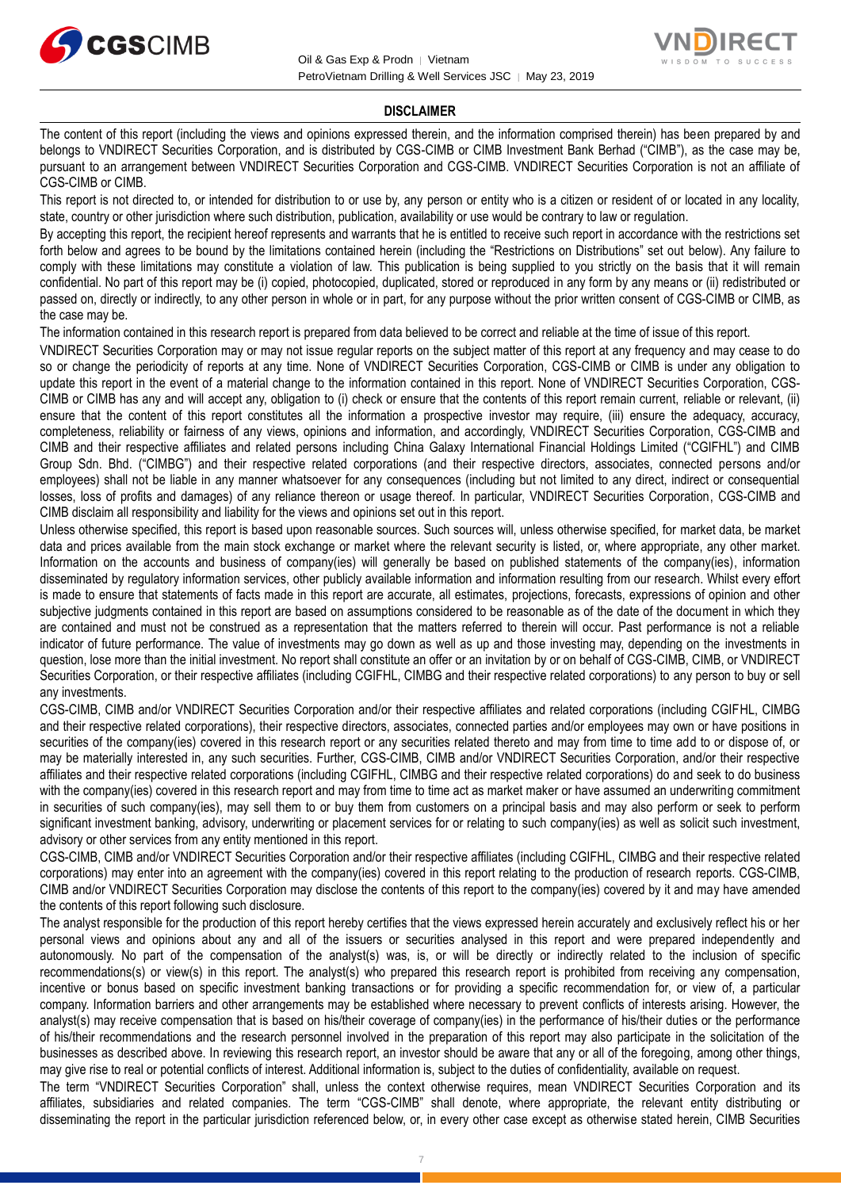![](_page_6_Picture_0.jpeg)

![](_page_6_Picture_2.jpeg)

#### **DISCLAIMER**

The content of this report (including the views and opinions expressed therein, and the information comprised therein) has been prepared by and belongs to VNDIRECT Securities Corporation, and is distributed by CGS-CIMB or CIMB Investment Bank Berhad ("CIMB"), as the case may be, pursuant to an arrangement between VNDIRECT Securities Corporation and CGS-CIMB. VNDIRECT Securities Corporation is not an affiliate of CGS-CIMB or CIMB.

This report is not directed to, or intended for distribution to or use by, any person or entity who is a citizen or resident of or located in any locality, state, country or other jurisdiction where such distribution, publication, availability or use would be contrary to law or regulation.

By accepting this report, the recipient hereof represents and warrants that he is entitled to receive such report in accordance with the restrictions set forth below and agrees to be bound by the limitations contained herein (including the "Restrictions on Distributions" set out below). Any failure to comply with these limitations may constitute a violation of law. This publication is being supplied to you strictly on the basis that it will remain confidential. No part of this report may be (i) copied, photocopied, duplicated, stored or reproduced in any form by any means or (ii) redistributed or passed on, directly or indirectly, to any other person in whole or in part, for any purpose without the prior written consent of CGS-CIMB or CIMB, as the case may be.

The information contained in this research report is prepared from data believed to be correct and reliable at the time of issue of this report.

VNDIRECT Securities Corporation may or may not issue regular reports on the subject matter of this report at any frequency and may cease to do so or change the periodicity of reports at any time. None of VNDIRECT Securities Corporation, CGS-CIMB or CIMB is under any obligation to update this report in the event of a material change to the information contained in this report. None of VNDIRECT Securities Corporation, CGS-CIMB or CIMB has any and will accept any, obligation to (i) check or ensure that the contents of this report remain current, reliable or relevant, (ii) ensure that the content of this report constitutes all the information a prospective investor may require, (iii) ensure the adequacy, accuracy, completeness, reliability or fairness of any views, opinions and information, and accordingly, VNDIRECT Securities Corporation, CGS-CIMB and CIMB and their respective affiliates and related persons including China Galaxy International Financial Holdings Limited ("CGIFHL") and CIMB Group Sdn. Bhd. ("CIMBG") and their respective related corporations (and their respective directors, associates, connected persons and/or employees) shall not be liable in any manner whatsoever for any consequences (including but not limited to any direct, indirect or consequential losses, loss of profits and damages) of any reliance thereon or usage thereof. In particular, VNDIRECT Securities Corporation, CGS-CIMB and CIMB disclaim all responsibility and liability for the views and opinions set out in this report.

Unless otherwise specified, this report is based upon reasonable sources. Such sources will, unless otherwise specified, for market data, be market data and prices available from the main stock exchange or market where the relevant security is listed, or, where appropriate, any other market. Information on the accounts and business of company(ies) will generally be based on published statements of the company(ies), information disseminated by regulatory information services, other publicly available information and information resulting from our research. Whilst every effort is made to ensure that statements of facts made in this report are accurate, all estimates, projections, forecasts, expressions of opinion and other subjective judgments contained in this report are based on assumptions considered to be reasonable as of the date of the document in which they are contained and must not be construed as a representation that the matters referred to therein will occur. Past performance is not a reliable indicator of future performance. The value of investments may go down as well as up and those investing may, depending on the investments in question, lose more than the initial investment. No report shall constitute an offer or an invitation by or on behalf of CGS-CIMB, CIMB, or VNDIRECT Securities Corporation, or their respective affiliates (including CGIFHL, CIMBG and their respective related corporations) to any person to buy or sell any investments.

CGS-CIMB, CIMB and/or VNDIRECT Securities Corporation and/or their respective affiliates and related corporations (including CGIFHL, CIMBG and their respective related corporations), their respective directors, associates, connected parties and/or employees may own or have positions in securities of the company(ies) covered in this research report or any securities related thereto and may from time to time add to or dispose of, or may be materially interested in, any such securities. Further, CGS-CIMB, CIMB and/or VNDIRECT Securities Corporation, and/or their respective affiliates and their respective related corporations (including CGIFHL, CIMBG and their respective related corporations) do and seek to do business with the company(ies) covered in this research report and may from time to time act as market maker or have assumed an underwriting commitment in securities of such company(ies), may sell them to or buy them from customers on a principal basis and may also perform or seek to perform significant investment banking, advisory, underwriting or placement services for or relating to such company(ies) as well as solicit such investment, advisory or other services from any entity mentioned in this report.

CGS-CIMB, CIMB and/or VNDIRECT Securities Corporation and/or their respective affiliates (including CGIFHL, CIMBG and their respective related corporations) may enter into an agreement with the company(ies) covered in this report relating to the production of research reports. CGS-CIMB, CIMB and/or VNDIRECT Securities Corporation may disclose the contents of this report to the company(ies) covered by it and may have amended the contents of this report following such disclosure.

The analyst responsible for the production of this report hereby certifies that the views expressed herein accurately and exclusively reflect his or her personal views and opinions about any and all of the issuers or securities analysed in this report and were prepared independently and autonomously. No part of the compensation of the analyst(s) was, is, or will be directly or indirectly related to the inclusion of specific recommendations(s) or view(s) in this report. The analyst(s) who prepared this research report is prohibited from receiving any compensation, incentive or bonus based on specific investment banking transactions or for providing a specific recommendation for, or view of, a particular company. Information barriers and other arrangements may be established where necessary to prevent conflicts of interests arising. However, the analyst(s) may receive compensation that is based on his/their coverage of company(ies) in the performance of his/their duties or the performance of his/their recommendations and the research personnel involved in the preparation of this report may also participate in the solicitation of the businesses as described above. In reviewing this research report, an investor should be aware that any or all of the foregoing, among other things, may give rise to real or potential conflicts of interest. Additional information is, subject to the duties of confidentiality, available on request.

The term "VNDIRECT Securities Corporation" shall, unless the context otherwise requires, mean VNDIRECT Securities Corporation and its affiliates, subsidiaries and related companies. The term "CGS-CIMB" shall denote, where appropriate, the relevant entity distributing or disseminating the report in the particular jurisdiction referenced below, or, in every other case except as otherwise stated herein, CIMB Securities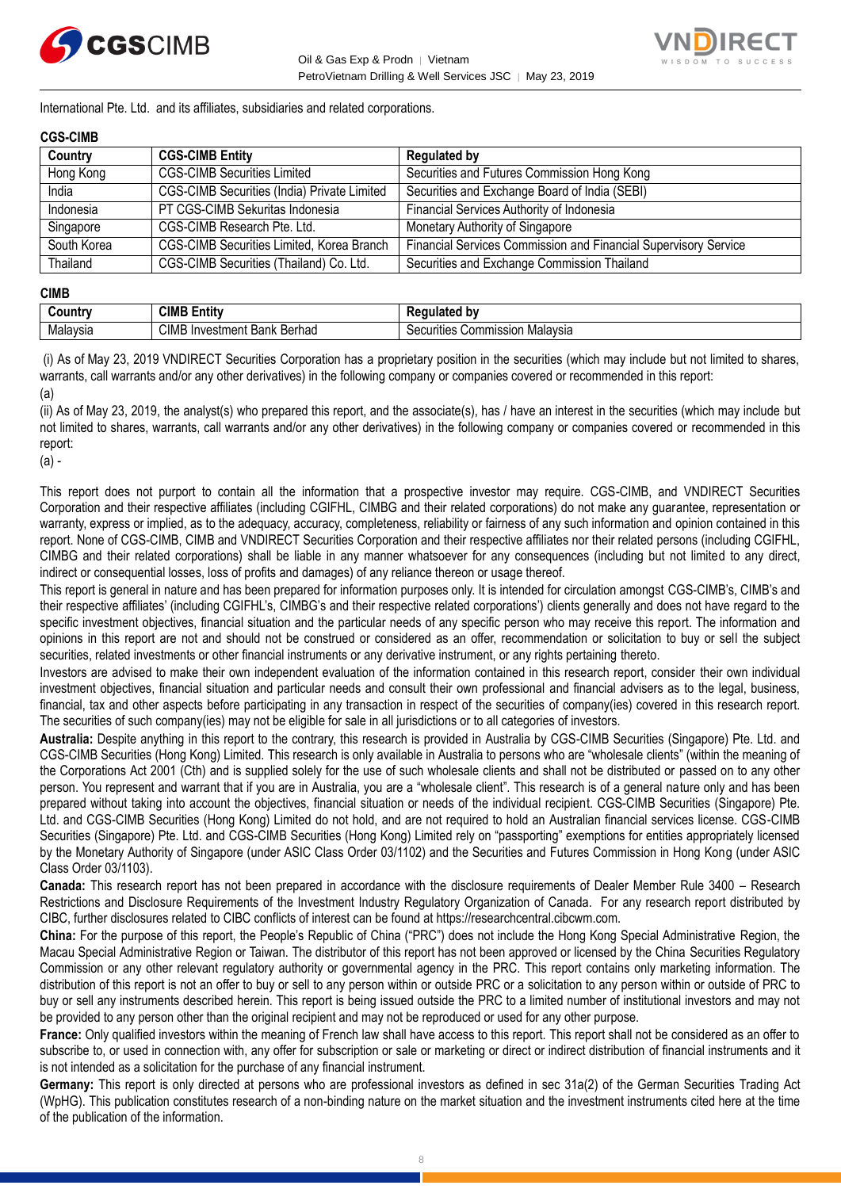![](_page_7_Picture_0.jpeg)

![](_page_7_Picture_2.jpeg)

International Pte. Ltd. and its affiliates, subsidiaries and related corporations.

### **CGS-CIMB**

| Country     | <b>CGS-CIMB Entity</b>                      | <b>Regulated by</b>                                             |
|-------------|---------------------------------------------|-----------------------------------------------------------------|
| Hong Kong   | <b>CGS-CIMB Securities Limited</b>          | Securities and Futures Commission Hong Kong                     |
| India       | CGS-CIMB Securities (India) Private Limited | Securities and Exchange Board of India (SEBI)                   |
| Indonesia   | PT CGS-CIMB Sekuritas Indonesia             | Financial Services Authority of Indonesia                       |
| Singapore   | CGS-CIMB Research Pte. Ltd.                 | Monetary Authority of Singapore                                 |
| South Korea | CGS-CIMB Securities Limited, Korea Branch   | Financial Services Commission and Financial Supervisory Service |
| Thailand    | CGS-CIMB Securities (Thailand) Co. Ltd.     | Securities and Exchange Commission Thailand                     |

#### **CIMB**

| ∶∩untr∖<br>,,,,, | <b>CIMB E</b><br>.<br>Entity                       | h۷                                                 |
|------------------|----------------------------------------------------|----------------------------------------------------|
| Malaysia         | <b>CIME</b><br>Berhad<br>Investment<br>Dank<br>Ddi | Malavsia<br>ommission;<br>urities<br>^^<br>эE<br>. |

(i) As of May 23, 2019 VNDIRECT Securities Corporation has a proprietary position in the securities (which may include but not limited to shares, warrants, call warrants and/or any other derivatives) in the following company or companies covered or recommended in this report: (a)

(ii) As of May 23, 2019, the analyst(s) who prepared this report, and the associate(s), has / have an interest in the securities (which may include but not limited to shares, warrants, call warrants and/or any other derivatives) in the following company or companies covered or recommended in this report:

(a) -

This report does not purport to contain all the information that a prospective investor may require. CGS-CIMB, and VNDIRECT Securities Corporation and their respective affiliates (including CGIFHL, CIMBG and their related corporations) do not make any guarantee, representation or warranty, express or implied, as to the adequacy, accuracy, completeness, reliability or fairness of any such information and opinion contained in this report. None of CGS-CIMB, CIMB and VNDIRECT Securities Corporation and their respective affiliates nor their related persons (including CGIFHL, CIMBG and their related corporations) shall be liable in any manner whatsoever for any consequences (including but not limited to any direct, indirect or consequential losses, loss of profits and damages) of any reliance thereon or usage thereof.

This report is general in nature and has been prepared for information purposes only. It is intended for circulation amongst CGS-CIMB's, CIMB's and their respective affiliates' (including CGIFHL's, CIMBG's and their respective related corporations') clients generally and does not have regard to the specific investment objectives, financial situation and the particular needs of any specific person who may receive this report. The information and opinions in this report are not and should not be construed or considered as an offer, recommendation or solicitation to buy or sell the subject securities, related investments or other financial instruments or any derivative instrument, or any rights pertaining thereto.

Investors are advised to make their own independent evaluation of the information contained in this research report, consider their own individual investment objectives, financial situation and particular needs and consult their own professional and financial advisers as to the legal, business, financial, tax and other aspects before participating in any transaction in respect of the securities of company(ies) covered in this research report. The securities of such company(ies) may not be eligible for sale in all jurisdictions or to all categories of investors.

**Australia:** Despite anything in this report to the contrary, this research is provided in Australia by CGS-CIMB Securities (Singapore) Pte. Ltd. and CGS-CIMB Securities (Hong Kong) Limited. This research is only available in Australia to persons who are "wholesale clients" (within the meaning of the Corporations Act 2001 (Cth) and is supplied solely for the use of such wholesale clients and shall not be distributed or passed on to any other person. You represent and warrant that if you are in Australia, you are a "wholesale client". This research is of a general nature only and has been prepared without taking into account the objectives, financial situation or needs of the individual recipient. CGS-CIMB Securities (Singapore) Pte. Ltd. and CGS-CIMB Securities (Hong Kong) Limited do not hold, and are not required to hold an Australian financial services license. CGS-CIMB Securities (Singapore) Pte. Ltd. and CGS-CIMB Securities (Hong Kong) Limited rely on "passporting" exemptions for entities appropriately licensed by the Monetary Authority of Singapore (under ASIC Class Order 03/1102) and the Securities and Futures Commission in Hong Kong (under ASIC Class Order 03/1103).

**Canada:** This research report has not been prepared in accordance with the disclosure requirements of Dealer Member Rule 3400 – Research Restrictions and Disclosure Requirements of the Investment Industry Regulatory Organization of Canada. For any research report distributed by CIBC, further disclosures related to CIBC conflicts of interest can be found at https://researchcentral.cibcwm.com.

**China:** For the purpose of this report, the People's Republic of China ("PRC") does not include the Hong Kong Special Administrative Region, the Macau Special Administrative Region or Taiwan. The distributor of this report has not been approved or licensed by the China Securities Regulatory Commission or any other relevant regulatory authority or governmental agency in the PRC. This report contains only marketing information. The distribution of this report is not an offer to buy or sell to any person within or outside PRC or a solicitation to any person within or outside of PRC to buy or sell any instruments described herein. This report is being issued outside the PRC to a limited number of institutional investors and may not be provided to any person other than the original recipient and may not be reproduced or used for any other purpose.

**France:** Only qualified investors within the meaning of French law shall have access to this report. This report shall not be considered as an offer to subscribe to, or used in connection with, any offer for subscription or sale or marketing or direct or indirect distribution of financial instruments and it is not intended as a solicitation for the purchase of any financial instrument.

**Germany:** This report is only directed at persons who are professional investors as defined in sec 31a(2) of the German Securities Trading Act (WpHG). This publication constitutes research of a non-binding nature on the market situation and the investment instruments cited here at the time of the publication of the information.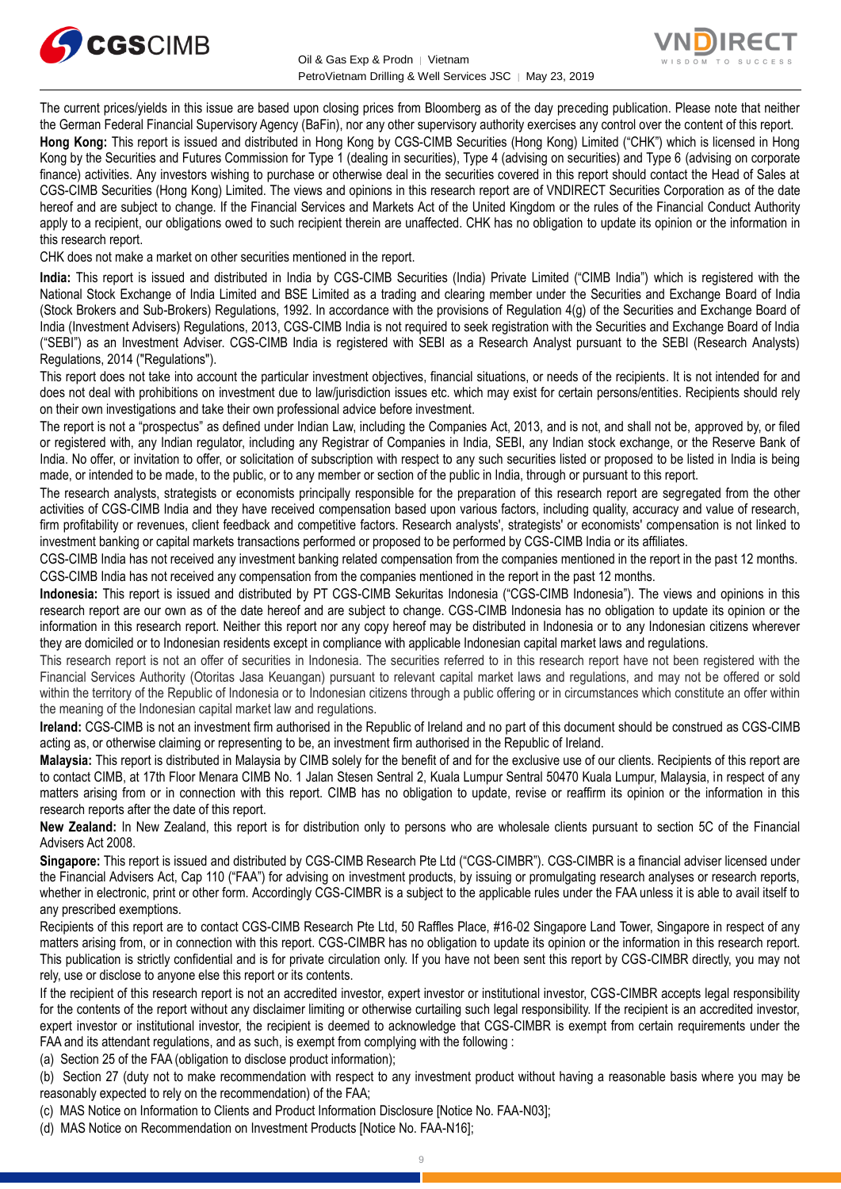![](_page_8_Picture_0.jpeg)

![](_page_8_Picture_2.jpeg)

The current prices/yields in this issue are based upon closing prices from Bloomberg as of the day preceding publication. Please note that neither the German Federal Financial Supervisory Agency (BaFin), nor any other supervisory authority exercises any control over the content of this report.

**Hong Kong:** This report is issued and distributed in Hong Kong by CGS-CIMB Securities (Hong Kong) Limited ("CHK") which is licensed in Hong Kong by the Securities and Futures Commission for Type 1 (dealing in securities), Type 4 (advising on securities) and Type 6 (advising on corporate finance) activities. Any investors wishing to purchase or otherwise deal in the securities covered in this report should contact the Head of Sales at CGS-CIMB Securities (Hong Kong) Limited. The views and opinions in this research report are of VNDIRECT Securities Corporation as of the date hereof and are subject to change. If the Financial Services and Markets Act of the United Kingdom or the rules of the Financial Conduct Authority apply to a recipient, our obligations owed to such recipient therein are unaffected. CHK has no obligation to update its opinion or the information in this research report.

CHK does not make a market on other securities mentioned in the report.

**India:** This report is issued and distributed in India by CGS-CIMB Securities (India) Private Limited ("CIMB India") which is registered with the National Stock Exchange of India Limited and BSE Limited as a trading and clearing member under the Securities and Exchange Board of India (Stock Brokers and Sub-Brokers) Regulations, 1992. In accordance with the provisions of Regulation 4(g) of the Securities and Exchange Board of India (Investment Advisers) Regulations, 2013, CGS-CIMB India is not required to seek registration with the Securities and Exchange Board of India ("SEBI") as an Investment Adviser. CGS-CIMB India is registered with SEBI as a Research Analyst pursuant to the SEBI (Research Analysts) Regulations, 2014 ("Regulations").

This report does not take into account the particular investment objectives, financial situations, or needs of the recipients. It is not intended for and does not deal with prohibitions on investment due to law/jurisdiction issues etc. which may exist for certain persons/entities. Recipients should rely on their own investigations and take their own professional advice before investment.

The report is not a "prospectus" as defined under Indian Law, including the Companies Act, 2013, and is not, and shall not be, approved by, or filed or registered with, any Indian regulator, including any Registrar of Companies in India, SEBI, any Indian stock exchange, or the Reserve Bank of India. No offer, or invitation to offer, or solicitation of subscription with respect to any such securities listed or proposed to be listed in India is being made, or intended to be made, to the public, or to any member or section of the public in India, through or pursuant to this report.

The research analysts, strategists or economists principally responsible for the preparation of this research report are segregated from the other activities of CGS-CIMB India and they have received compensation based upon various factors, including quality, accuracy and value of research, firm profitability or revenues, client feedback and competitive factors. Research analysts', strategists' or economists' compensation is not linked to investment banking or capital markets transactions performed or proposed to be performed by CGS-CIMB India or its affiliates.

CGS-CIMB India has not received any investment banking related compensation from the companies mentioned in the report in the past 12 months. CGS-CIMB India has not received any compensation from the companies mentioned in the report in the past 12 months.

**Indonesia:** This report is issued and distributed by PT CGS-CIMB Sekuritas Indonesia ("CGS-CIMB Indonesia"). The views and opinions in this research report are our own as of the date hereof and are subject to change. CGS-CIMB Indonesia has no obligation to update its opinion or the information in this research report. Neither this report nor any copy hereof may be distributed in Indonesia or to any Indonesian citizens wherever they are domiciled or to Indonesian residents except in compliance with applicable Indonesian capital market laws and regulations.

This research report is not an offer of securities in Indonesia. The securities referred to in this research report have not been registered with the Financial Services Authority (Otoritas Jasa Keuangan) pursuant to relevant capital market laws and regulations, and may not be offered or sold within the territory of the Republic of Indonesia or to Indonesian citizens through a public offering or in circumstances which constitute an offer within the meaning of the Indonesian capital market law and regulations.

**Ireland:** CGS-CIMB is not an investment firm authorised in the Republic of Ireland and no part of this document should be construed as CGS-CIMB acting as, or otherwise claiming or representing to be, an investment firm authorised in the Republic of Ireland.

**Malaysia:** This report is distributed in Malaysia by CIMB solely for the benefit of and for the exclusive use of our clients. Recipients of this report are to contact CIMB, at 17th Floor Menara CIMB No. 1 Jalan Stesen Sentral 2, Kuala Lumpur Sentral 50470 Kuala Lumpur, Malaysia, in respect of any matters arising from or in connection with this report. CIMB has no obligation to update, revise or reaffirm its opinion or the information in this research reports after the date of this report.

**New Zealand:** In New Zealand, this report is for distribution only to persons who are wholesale clients pursuant to section 5C of the Financial Advisers Act 2008.

**Singapore:** This report is issued and distributed by CGS-CIMB Research Pte Ltd ("CGS-CIMBR"). CGS-CIMBR is a financial adviser licensed under the Financial Advisers Act, Cap 110 ("FAA") for advising on investment products, by issuing or promulgating research analyses or research reports, whether in electronic, print or other form. Accordingly CGS-CIMBR is a subject to the applicable rules under the FAA unless it is able to avail itself to any prescribed exemptions.

Recipients of this report are to contact CGS-CIMB Research Pte Ltd, 50 Raffles Place, #16-02 Singapore Land Tower, Singapore in respect of any matters arising from, or in connection with this report. CGS-CIMBR has no obligation to update its opinion or the information in this research report. This publication is strictly confidential and is for private circulation only. If you have not been sent this report by CGS-CIMBR directly, you may not rely, use or disclose to anyone else this report or its contents.

If the recipient of this research report is not an accredited investor, expert investor or institutional investor, CGS-CIMBR accepts legal responsibility for the contents of the report without any disclaimer limiting or otherwise curtailing such legal responsibility. If the recipient is an accredited investor, expert investor or institutional investor, the recipient is deemed to acknowledge that CGS-CIMBR is exempt from certain requirements under the FAA and its attendant regulations, and as such, is exempt from complying with the following :

(a) Section 25 of the FAA (obligation to disclose product information);

(b) Section 27 (duty not to make recommendation with respect to any investment product without having a reasonable basis where you may be reasonably expected to rely on the recommendation) of the FAA;

(c) MAS Notice on Information to Clients and Product Information Disclosure [Notice No. FAA-N03];

(d) MAS Notice on Recommendation on Investment Products [Notice No. FAA-N16];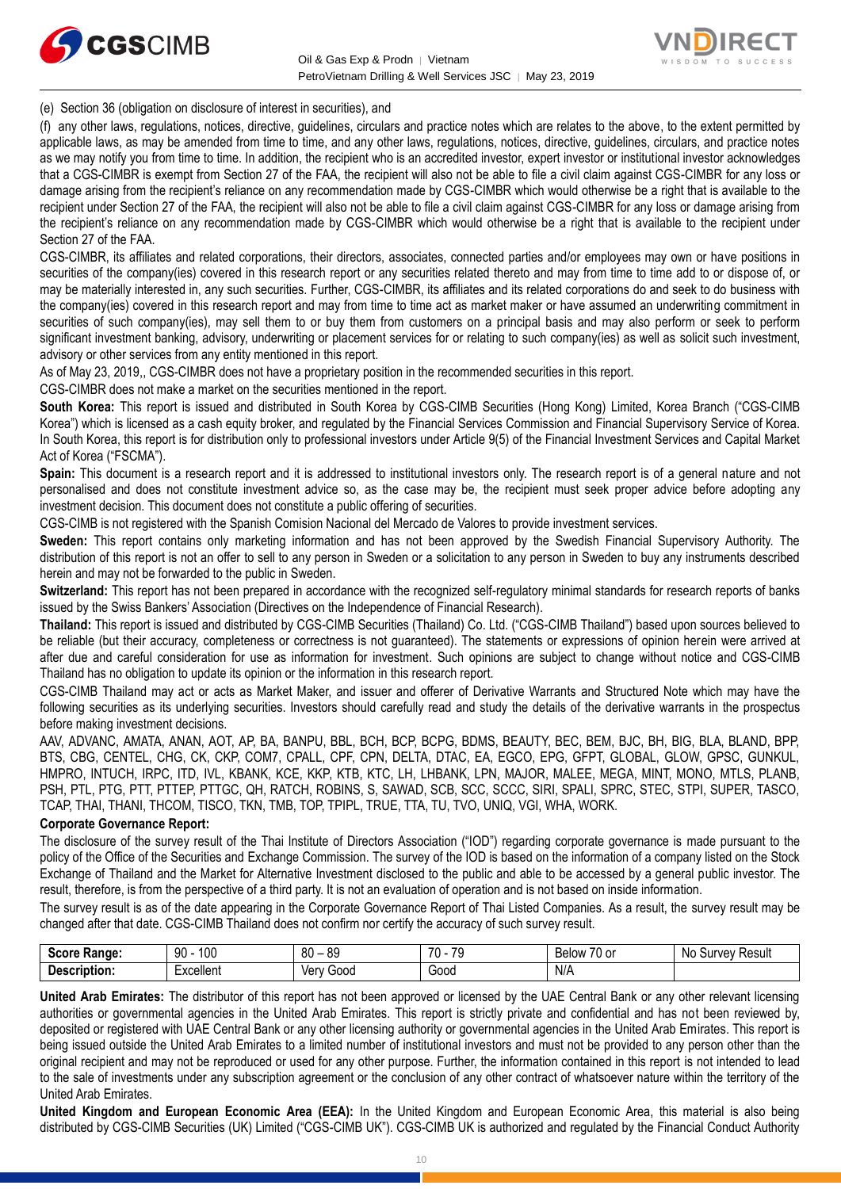![](_page_9_Picture_0.jpeg)

![](_page_9_Picture_2.jpeg)

(e) Section 36 (obligation on disclosure of interest in securities), and

(f) any other laws, regulations, notices, directive, guidelines, circulars and practice notes which are relates to the above, to the extent permitted by applicable laws, as may be amended from time to time, and any other laws, regulations, notices, directive, guidelines, circulars, and practice notes as we may notify you from time to time. In addition, the recipient who is an accredited investor, expert investor or institutional investor acknowledges that a CGS-CIMBR is exempt from Section 27 of the FAA, the recipient will also not be able to file a civil claim against CGS-CIMBR for any loss or damage arising from the recipient's reliance on any recommendation made by CGS-CIMBR which would otherwise be a right that is available to the recipient under Section 27 of the FAA, the recipient will also not be able to file a civil claim against CGS-CIMBR for any loss or damage arising from the recipient's reliance on any recommendation made by CGS-CIMBR which would otherwise be a right that is available to the recipient under Section 27 of the FAA.

CGS-CIMBR, its affiliates and related corporations, their directors, associates, connected parties and/or employees may own or have positions in securities of the company(ies) covered in this research report or any securities related thereto and may from time to time add to or dispose of, or may be materially interested in, any such securities. Further, CGS-CIMBR, its affiliates and its related corporations do and seek to do business with the company(ies) covered in this research report and may from time to time act as market maker or have assumed an underwriting commitment in securities of such company(ies), may sell them to or buy them from customers on a principal basis and may also perform or seek to perform significant investment banking, advisory, underwriting or placement services for or relating to such company(ies) as well as solicit such investment, advisory or other services from any entity mentioned in this report.

As of May 23, 2019,, CGS-CIMBR does not have a proprietary position in the recommended securities in this report.

CGS-CIMBR does not make a market on the securities mentioned in the report.

**South Korea:** This report is issued and distributed in South Korea by CGS-CIMB Securities (Hong Kong) Limited, Korea Branch ("CGS-CIMB Korea") which is licensed as a cash equity broker, and regulated by the Financial Services Commission and Financial Supervisory Service of Korea. In South Korea, this report is for distribution only to professional investors under Article 9(5) of the Financial Investment Services and Capital Market Act of Korea ("FSCMA").

**Spain:** This document is a research report and it is addressed to institutional investors only. The research report is of a general nature and not personalised and does not constitute investment advice so, as the case may be, the recipient must seek proper advice before adopting any investment decision. This document does not constitute a public offering of securities.

CGS-CIMB is not registered with the Spanish Comision Nacional del Mercado de Valores to provide investment services.

**Sweden:** This report contains only marketing information and has not been approved by the Swedish Financial Supervisory Authority. The distribution of this report is not an offer to sell to any person in Sweden or a solicitation to any person in Sweden to buy any instruments described herein and may not be forwarded to the public in Sweden.

**Switzerland:** This report has not been prepared in accordance with the recognized self-regulatory minimal standards for research reports of banks issued by the Swiss Bankers' Association (Directives on the Independence of Financial Research).

**Thailand:** This report is issued and distributed by CGS-CIMB Securities (Thailand) Co. Ltd. ("CGS-CIMB Thailand") based upon sources believed to be reliable (but their accuracy, completeness or correctness is not guaranteed). The statements or expressions of opinion herein were arrived at after due and careful consideration for use as information for investment. Such opinions are subject to change without notice and CGS-CIMB Thailand has no obligation to update its opinion or the information in this research report.

CGS-CIMB Thailand may act or acts as Market Maker, and issuer and offerer of Derivative Warrants and Structured Note which may have the following securities as its underlying securities. Investors should carefully read and study the details of the derivative warrants in the prospectus before making investment decisions.

AAV, ADVANC, AMATA, ANAN, AOT, AP, BA, BANPU, BBL, BCH, BCP, BCPG, BDMS, BEAUTY, BEC, BEM, BJC, BH, BIG, BLA, BLAND, BPP, BTS, CBG, CENTEL, CHG, CK, CKP, COM7, CPALL, CPF, CPN, DELTA, DTAC, EA, EGCO, EPG, GFPT, GLOBAL, GLOW, GPSC, GUNKUL, HMPRO, INTUCH, IRPC, ITD, IVL, KBANK, KCE, KKP, KTB, KTC, LH, LHBANK, LPN, MAJOR, MALEE, MEGA, MINT, MONO, MTLS, PLANB, PSH, PTL, PTG, PTT, PTTEP, PTTGC, QH, RATCH, ROBINS, S, SAWAD, SCB, SCC, SCCC, SIRI, SPALI, SPRC, STEC, STPI, SUPER, TASCO, TCAP, THAI, THANI, THCOM, TISCO, TKN, TMB, TOP, TPIPL, TRUE, TTA, TU, TVO, UNIQ, VGI, WHA, WORK.

### **Corporate Governance Report:**

The disclosure of the survey result of the Thai Institute of Directors Association ("IOD") regarding corporate governance is made pursuant to the policy of the Office of the Securities and Exchange Commission. The survey of the IOD is based on the information of a company listed on the Stock Exchange of Thailand and the Market for Alternative Investment disclosed to the public and able to be accessed by a general public investor. The result, therefore, is from the perspective of a third party. It is not an evaluation of operation and is not based on inside information.

The survey result is as of the date appearing in the Corporate Governance Report of Thai Listed Companies. As a result, the survey result may be changed after that date. CGS-CIMB Thailand does not confirm nor certify the accuracy of such survey result.

| <b>Score</b><br>Range: | 100<br>۵N<br>JU                         | 80<br>or<br>೦ಜ<br>$\overline{\phantom{0}}$ | 70<br>$\overline{\phantom{a}}$ | $\sim$ $\sim$<br>Below<br>/U or | Result<br>N0<br>Survey |
|------------------------|-----------------------------------------|--------------------------------------------|--------------------------------|---------------------------------|------------------------|
| <b>Description.</b>    | -<br>Lyonllon <sup>+</sup><br>≍x∪elie∏t | Ven<br>Good                                | Good<br>- - - -                | N/A                             |                        |

**United Arab Emirates:** The distributor of this report has not been approved or licensed by the UAE Central Bank or any other relevant licensing authorities or governmental agencies in the United Arab Emirates. This report is strictly private and confidential and has not been reviewed by, deposited or registered with UAE Central Bank or any other licensing authority or governmental agencies in the United Arab Emirates. This report is being issued outside the United Arab Emirates to a limited number of institutional investors and must not be provided to any person other than the original recipient and may not be reproduced or used for any other purpose. Further, the information contained in this report is not intended to lead to the sale of investments under any subscription agreement or the conclusion of any other contract of whatsoever nature within the territory of the United Arab Emirates.

**United Kingdom and European Economic Area (EEA):** In the United Kingdom and European Economic Area, this material is also being distributed by CGS-CIMB Securities (UK) Limited ("CGS-CIMB UK"). CGS-CIMB UK is authorized and regulated by the Financial Conduct Authority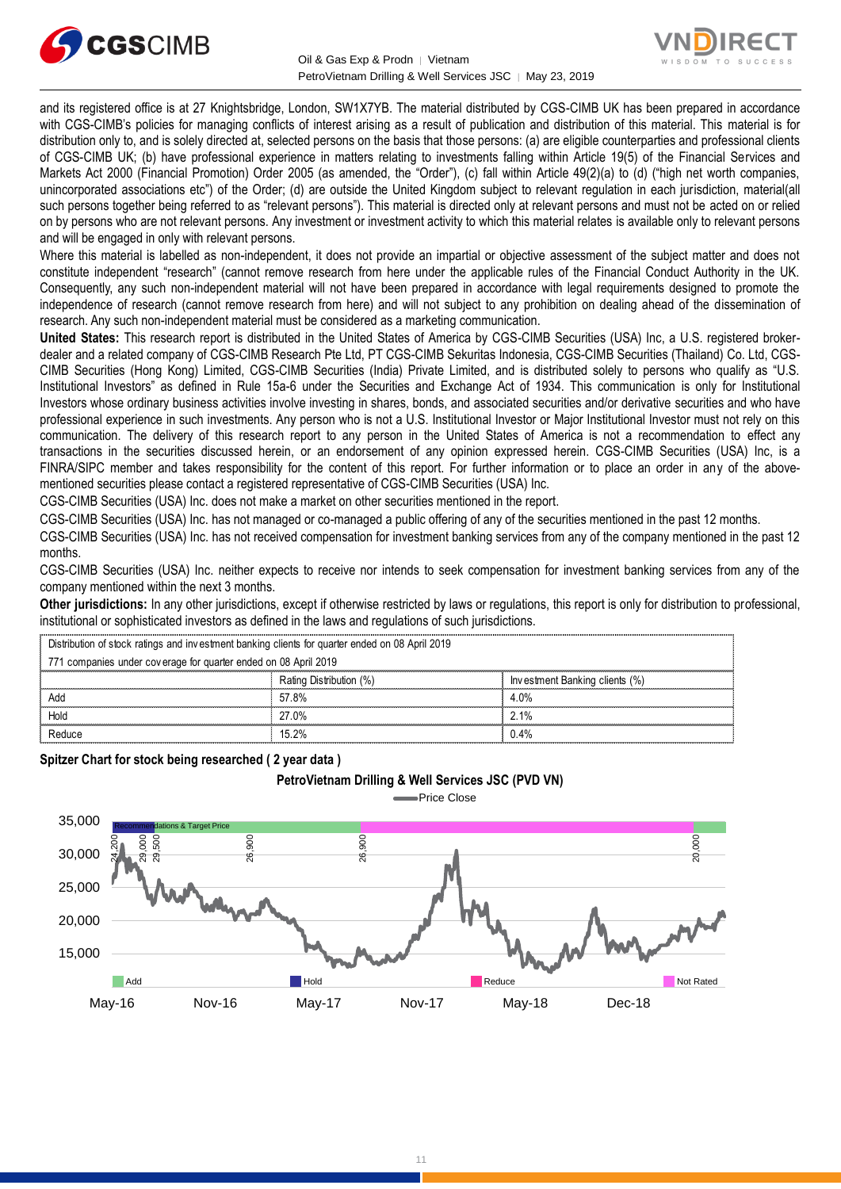![](_page_10_Picture_0.jpeg)

![](_page_10_Picture_2.jpeg)

and its registered office is at 27 Knightsbridge, London, SW1X7YB. The material distributed by CGS-CIMB UK has been prepared in accordance with CGS-CIMB's policies for managing conflicts of interest arising as a result of publication and distribution of this material. This material is for distribution only to, and is solely directed at, selected persons on the basis that those persons: (a) are eligible counterparties and professional clients of CGS-CIMB UK; (b) have professional experience in matters relating to investments falling within Article 19(5) of the Financial Services and Markets Act 2000 (Financial Promotion) Order 2005 (as amended, the "Order"), (c) fall within Article 49(2)(a) to (d) ("high net worth companies, unincorporated associations etc") of the Order; (d) are outside the United Kingdom subject to relevant regulation in each jurisdiction, material(all such persons together being referred to as "relevant persons"). This material is directed only at relevant persons and must not be acted on or relied on by persons who are not relevant persons. Any investment or investment activity to which this material relates is available only to relevant persons and will be engaged in only with relevant persons.

Where this material is labelled as non-independent, it does not provide an impartial or objective assessment of the subject matter and does not constitute independent "research" (cannot remove research from here under the applicable rules of the Financial Conduct Authority in the UK. Consequently, any such non-independent material will not have been prepared in accordance with legal requirements designed to promote the independence of research (cannot remove research from here) and will not subject to any prohibition on dealing ahead of the dissemination of research. Any such non-independent material must be considered as a marketing communication.

**United States:** This research report is distributed in the United States of America by CGS-CIMB Securities (USA) Inc, a U.S. registered brokerdealer and a related company of CGS-CIMB Research Pte Ltd, PT CGS-CIMB Sekuritas Indonesia, CGS-CIMB Securities (Thailand) Co. Ltd, CGS-CIMB Securities (Hong Kong) Limited, CGS-CIMB Securities (India) Private Limited, and is distributed solely to persons who qualify as "U.S. Institutional Investors" as defined in Rule 15a-6 under the Securities and Exchange Act of 1934. This communication is only for Institutional Investors whose ordinary business activities involve investing in shares, bonds, and associated securities and/or derivative securities and who have professional experience in such investments. Any person who is not a U.S. Institutional Investor or Major Institutional Investor must not rely on this communication. The delivery of this research report to any person in the United States of America is not a recommendation to effect any transactions in the securities discussed herein, or an endorsement of any opinion expressed herein. CGS-CIMB Securities (USA) Inc, is a FINRA/SIPC member and takes responsibility for the content of this report. For further information or to place an order in any of the abovementioned securities please contact a registered representative of CGS-CIMB Securities (USA) Inc.

CGS-CIMB Securities (USA) Inc. does not make a market on other securities mentioned in the report.

CGS-CIMB Securities (USA) Inc. has not managed or co-managed a public offering of any of the securities mentioned in the past 12 months.

CGS-CIMB Securities (USA) Inc. has not received compensation for investment banking services from any of the company mentioned in the past 12 months.

CGS-CIMB Securities (USA) Inc. neither expects to receive nor intends to seek compensation for investment banking services from any of the company mentioned within the next 3 months.

**Other jurisdictions:** In any other jurisdictions, except if otherwise restricted by laws or regulations, this report is only for distribution to professional, institutional or sophisticated investors as defined in the laws and regulations of such jurisdictions. Distribution of stock ratings and investors as defined in the laws and regulations of stock ratings and investors as defined in the laws and regulations of stock ratings and investment banking clients for quarter ended on

| <b>Other jurisdictions:</b> In any other jurisdictions, except if otherwise restricted by laws or regulations, this report is only for distribution to<br>institutional or sophisticated investors as defined in the laws and regulations of such jurisdictions. |                         |                                |  |
|------------------------------------------------------------------------------------------------------------------------------------------------------------------------------------------------------------------------------------------------------------------|-------------------------|--------------------------------|--|
| Distribution of stock ratings and investment banking clients for quarter ended on 08 April 2019                                                                                                                                                                  |                         |                                |  |
| 771 companies under coverage for quarter ended on 08 April 2019                                                                                                                                                                                                  |                         |                                |  |
|                                                                                                                                                                                                                                                                  | Rating Distribution (%) | Investment Banking clients (%) |  |
| Add                                                                                                                                                                                                                                                              | 57.8%                   | 4.0%                           |  |
| Hold                                                                                                                                                                                                                                                             | 27.0%                   | 2.1%                           |  |
| Reduce                                                                                                                                                                                                                                                           | 15.2%                   | 0.4%                           |  |
|                                                                                                                                                                                                                                                                  |                         |                                |  |

**Spitzer Chart for stock being researched ( 2 year data )** 

![](_page_10_Figure_13.jpeg)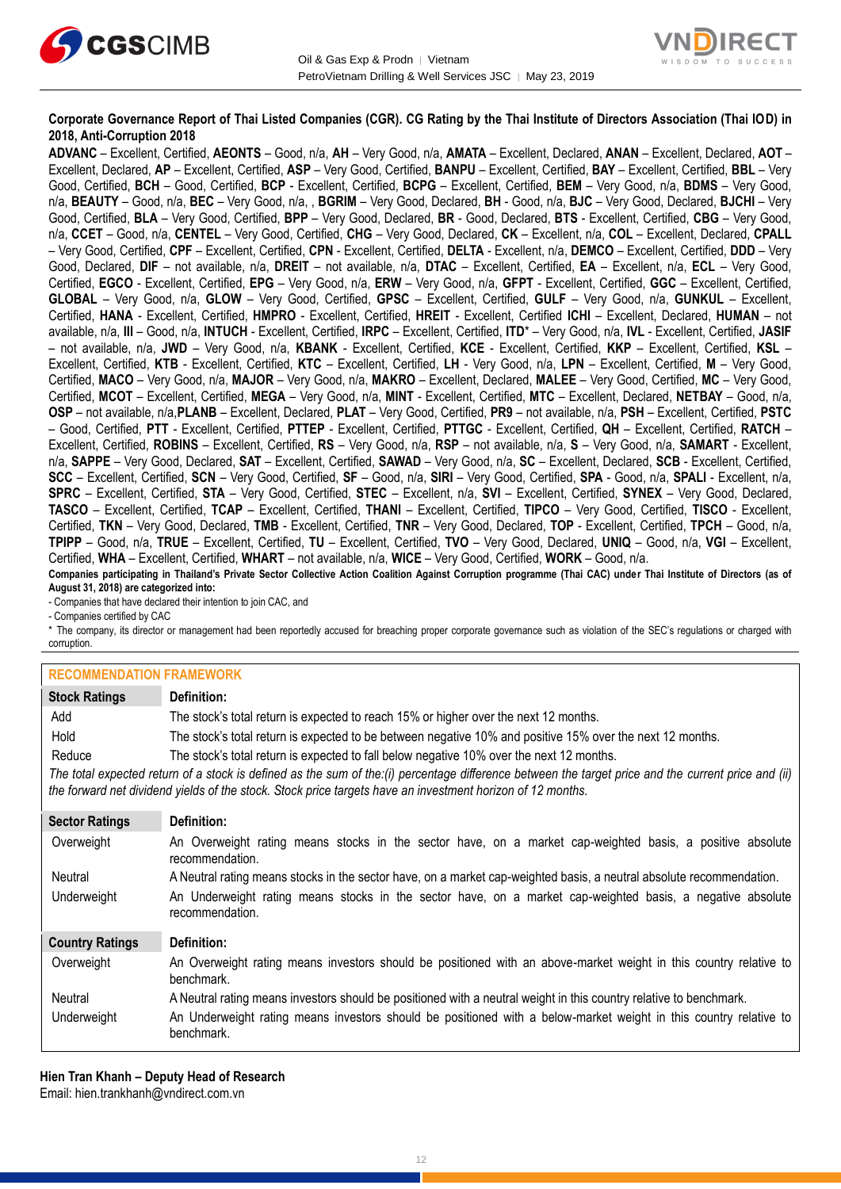![](_page_11_Picture_0.jpeg)

![](_page_11_Picture_2.jpeg)

### **Corporate Governance Report of Thai Listed Companies (CGR). CG Rating by the Thai Institute of Directors Association (Thai IOD) in 2018, Anti-Corruption 2018**

**ADVANC** – Excellent, Certified, **AEONTS** – Good, n/a, **AH** – Very Good, n/a, **AMATA** – Excellent, Declared, **ANAN** – Excellent, Declared, **AOT** – Excellent, Declared, **AP** – Excellent, Certified, **ASP** – Very Good, Certified, **BANPU** – Excellent, Certified, **BAY** – Excellent, Certified, **BBL** – Very Good, Certified, **BCH** – Good, Certified, **BCP** - Excellent, Certified, **BCPG** – Excellent, Certified, **BEM** – Very Good, n/a, **BDMS** – Very Good, n/a, **BEAUTY** – Good, n/a, **BEC** – Very Good, n/a, , **BGRIM** – Very Good, Declared, **BH** - Good, n/a, **BJC** – Very Good, Declared, **BJCHI** – Very Good, Certified, **BLA** – Very Good, Certified, **BPP** – Very Good, Declared, **BR** - Good, Declared, **BTS** - Excellent, Certified, **CBG** – Very Good, n/a, **CCET** – Good, n/a, **CENTEL** – Very Good, Certified, **CHG** – Very Good, Declared, **CK** – Excellent, n/a, **COL** – Excellent, Declared, **CPALL** – Very Good, Certified, **CPF** – Excellent, Certified, **CPN** - Excellent, Certified, **DELTA** - Excellent, n/a, **DEMCO** – Excellent, Certified, **DDD** – Very Good, Declared, **DIF** – not available, n/a, **DREIT** – not available, n/a, **DTAC** – Excellent, Certified, **EA** – Excellent, n/a, **ECL** – Very Good, Certified, **EGCO** - Excellent, Certified, **EPG** – Very Good, n/a, **ERW** – Very Good, n/a, **GFPT** - Excellent, Certified, **GGC** – Excellent, Certified, **GLOBAL** – Very Good, n/a, **GLOW** – Very Good, Certified, **GPSC** – Excellent, Certified, **GULF** – Very Good, n/a, **GUNKUL** – Excellent, Certified, **HANA** - Excellent, Certified, **HMPRO** - Excellent, Certified, **HREIT** - Excellent, Certified **ICHI** – Excellent, Declared, **HUMAN** – not available, n/a, **III** – Good, n/a, **INTUCH** - Excellent, Certified, **IRPC** – Excellent, Certified, **ITD**\* – Very Good, n/a, **IVL** - Excellent, Certified, **JASIF** – not available, n/a, **JWD** – Very Good, n/a, **KBANK** - Excellent, Certified, **KCE** - Excellent, Certified, **KKP** – Excellent, Certified, **KSL** – Excellent, Certified, **KTB** - Excellent, Certified, **KTC** – Excellent, Certified, **LH** - Very Good, n/a, **LPN** – Excellent, Certified, **M** – Very Good, Certified, **MACO** – Very Good, n/a, **MAJOR** – Very Good, n/a, **MAKRO** – Excellent, Declared, **MALEE** – Very Good, Certified, **MC** – Very Good, Certified, **MCOT** – Excellent, Certified, **MEGA** – Very Good, n/a, **MINT** - Excellent, Certified, **MTC** – Excellent, Declared, **NETBAY** – Good, n/a, **OSP** – not available, n/a,**PLANB** – Excellent, Declared, **PLAT** – Very Good, Certified, **PR9** – not available, n/a, **PSH** – Excellent, Certified, **PSTC** – Good, Certified, **PTT** - Excellent, Certified, **PTTEP** - Excellent, Certified, **PTTGC** - Excellent, Certified, **QH** – Excellent, Certified, **RATCH** – Excellent, Certified, **ROBINS** – Excellent, Certified, **RS** – Very Good, n/a, **RSP** – not available, n/a, **S** – Very Good, n/a, **SAMART** - Excellent, n/a, **SAPPE** – Very Good, Declared, **SAT** – Excellent, Certified, **SAWAD** – Very Good, n/a, **SC** – Excellent, Declared, **SCB** - Excellent, Certified, **SCC** – Excellent, Certified, **SCN** – Very Good, Certified, **SF** – Good, n/a, **SIRI** – Very Good, Certified, **SPA** - Good, n/a, **SPALI** - Excellent, n/a, **SPRC** – Excellent, Certified, **STA** – Very Good, Certified, **STEC** – Excellent, n/a, **SVI** – Excellent, Certified, **SYNEX** – Very Good, Declared, **TASCO** – Excellent, Certified, **TCAP** – Excellent, Certified, **THANI** – Excellent, Certified, **TIPCO** – Very Good, Certified, **TISCO** - Excellent, Certified, **TKN** – Very Good, Declared, **TMB** - Excellent, Certified, **TNR** – Very Good, Declared, **TOP** - Excellent, Certified, **TPCH** – Good, n/a, **TPIPP** – Good, n/a, **TRUE** – Excellent, Certified, **TU** – Excellent, Certified, **TVO** – Very Good, Declared, **UNIQ** – Good, n/a, **VGI** – Excellent, Certified, **WHA** – Excellent, Certified, **WHART** – not available, n/a, **WICE** – Very Good, Certified, **WORK** – Good, n/a. **Companies participating in Thailand's Private Sector Collective Action Coalition Against Corruption programme (Thai CAC) under Thai Institute of Directors (as of** 

**August 31, 2018) are categorized into:**

- Companies that have declared their intention to join CAC, and

- Companies certified by CAC

\* The company, its director or management had been reportedly accused for breaching proper corporate governance such as violation of the SEC's regulations or charged with corruption.

#### **RECOMMENDATION EDAMEWORK**

| <u>INLOUININLINDAI ION I INAMLINOINN</u> |                                                                                                                                                                                                                                                                   |
|------------------------------------------|-------------------------------------------------------------------------------------------------------------------------------------------------------------------------------------------------------------------------------------------------------------------|
| <b>Stock Ratings</b>                     | Definition:                                                                                                                                                                                                                                                       |
| Add                                      | The stock's total return is expected to reach 15% or higher over the next 12 months.                                                                                                                                                                              |
| Hold                                     | The stock's total return is expected to be between negative 10% and positive 15% over the next 12 months.                                                                                                                                                         |
| Reduce                                   | The stock's total return is expected to fall below negative 10% over the next 12 months.                                                                                                                                                                          |
|                                          | The total expected return of a stock is defined as the sum of the:(i) percentage difference between the target price and the current price and (ii)<br>the forward net dividend yields of the stock. Stock price targets have an investment horizon of 12 months. |
| <b>Sector Ratings</b>                    | Definition:                                                                                                                                                                                                                                                       |
| Overweight                               | An Overweight rating means stocks in the sector have, on a market cap-weighted basis, a positive absolute<br>recommendation.                                                                                                                                      |
| Neutral                                  | A Neutral rating means stocks in the sector have, on a market cap-weighted basis, a neutral absolute recommendation.                                                                                                                                              |
| Underweight                              | An Underweight rating means stocks in the sector have, on a market cap-weighted basis, a negative absolute<br>recommendation.                                                                                                                                     |
| <b>Country Ratings</b>                   | Definition:                                                                                                                                                                                                                                                       |
| Overweight                               | An Overweight rating means investors should be positioned with an above-market weight in this country relative to<br>benchmark.                                                                                                                                   |
| Neutral                                  | A Neutral rating means investors should be positioned with a neutral weight in this country relative to benchmark.                                                                                                                                                |
| اللوابع فتحدد وسيحاج وبالل               | As thedesiciall subsequence to select about the seedifical with a telecomercial control to this experimentalize to                                                                                                                                                |

Underweight An Underweight rating means investors should be positioned with a below-market weight in this country relative to benchmark.

**Hien Tran Khanh – Deputy Head of Research** Email: [hien.trankhanh@vndirect.com.vn](mailto:hien.trankhanh@vndirect.com.vn)